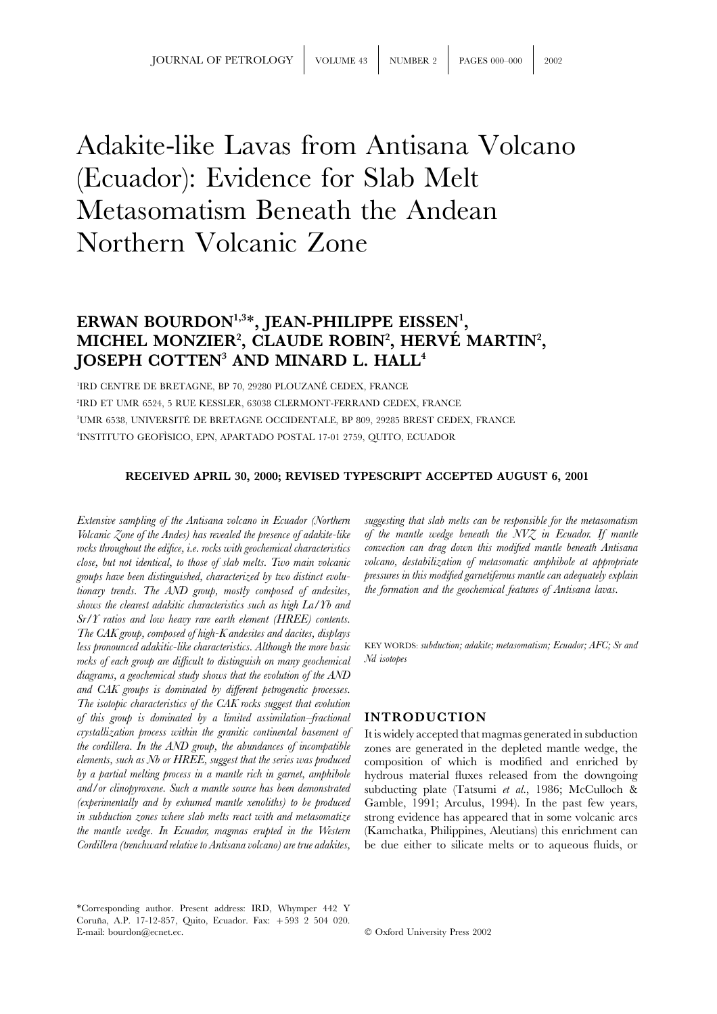# Adakite-like Lavas from Antisana Volcano (Ecuador): Evidence for Slab Melt Metasomatism Beneath the Andean Northern Volcanic Zone

## **ERWAN BOURDON1,3**∗**, JEAN-PHILIPPE EISSEN1 , MICHEL MONZIER2 , CLAUDE ROBIN2 , HERVE´ MARTIN2 , JOSEPH COTTEN3 AND MINARD L. HALL4**

 IRD CENTRE DE BRETAGNE, BP 70, 29280 PLOUZANE´ CEDEX, FRANCE IRD ET UMR 6524, 5 RUE KESSLER, 63038 CLERMONT-FERRAND CEDEX, FRANCE UMR 6538, UNIVERSITE´ DE BRETAGNE OCCIDENTALE, BP 809, 29285 BREST CEDEX, FRANCE INSTITUTO GEOFI`SICO, EPN, APARTADO POSTAL 17-01 2759, QUITO, ECUADOR

## **RECEIVED APRIL 30, 2000; REVISED TYPESCRIPT ACCEPTED AUGUST 6, 2001**

*Volcanic Zone of the Andes) has revealed the presence of adakite-like of the mantle wedge beneath the NVZ in Ecuador. If mantle rocks throughout the edifice, i.e. rocks with geochemical characteristics convection can drag down this modified mantle beneath Antisana close, but not identical, to those of slab melts. Two main volcanic volcano, destabilization of metasomatic amphibole at appropriate groups have been distinguished, characterized by two distinct evolu- pressures in this modified garnetiferous mantle can adequately explain the formation and the geochemical features of Antisana lavas. tionary trends. The AND group, mostly composed of andesites, shows the clearest adakitic characteristics such as high La/Yb and Sr/Y ratios and low heavy rare earth element (HREE) contents. The CAK group, composed of high-K andesites and dacites, displays* less pronounced adakitic-like characteristics. Although the more basic<br>meks of each group are difficult to distinguish on many geochemical Nd isotopes *Nd isotopes rocks of each group are difficult to distinguish on many geochemical diagrams, a geochemical study shows that the evolution of the AND and CAK groups is dominated by different petrogenetic processes. The isotopic characteristics of the CAK rocks suggest that evolution of this group is dominated by a limited assimilation–fractional* **INTRODUCTION** *crystallization process within the granitic continental basement of* It is widely accepted that magmas generated in subduction *the cordillera. In the AND group, the abundances of incompatible* zones are generated in the depleted mantle wedge, the *elements, such as Nb or HREE, suggest that the series was produced* composition of which is modified *by a partial melting process in a mantle rich in garnet, amphibole* hydrous material fluxes released from the downgoing *and/or clinopyroxene. Such a mantle source has been demonstrated* subducting plate (Tatsumi *et al.*, 1986; McCulloch & *(experimentally and by exhumed mantle xenoliths) to be produced* Gamble, 1991; Arculus, 1994). In the past few years, *in subduction zones where slab melts react with and metasomatize* strong evidence has appeared that in some volcanic arcs *the mantle wedge. In Ecuador, magmas erupted in the Western* (Kamchatka, Philippines, Aleutians) this enrichment can *Cordillera (trenchward relative to Antisana volcano) are true adakites,* be due either to silicate melts or to aqueous fluids, or

*Extensive sampling of the Antisana volcano in Ecuador (Northern suggesting that slab melts can be responsible for the metasomatism*

composition of which is modified and enriched by

∗Corresponding author. Present address: IRD, Whymper 442 Y Corun˜a, A.P. 17-12-857, Quito, Ecuador. Fax: +593 2 504 020. E-mail: bourdon@ecnet.ec. Oxford University Press 2002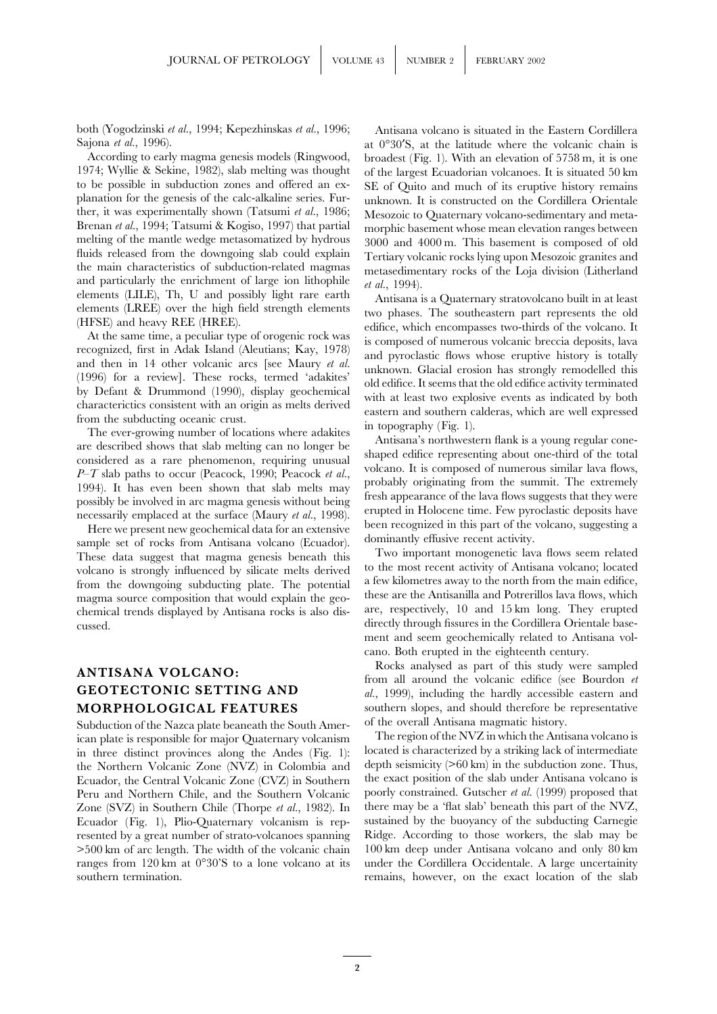both (Yogodzinski *et al.*, 1994; Kepezhinskas *et al.*, 1996; Antisana volcano is situated in the Eastern Cordillera

1974; Wyllie & Sekine, 1982), slab melting was thought of the largest Ecuadorian volcanoes. It is situated 50 km to be possible in subduction zones and offered an ex- $\kappa$  SE of Quito and much of its eruptive history rema planation for the genesis of the calc-alkaline series. Fur-<br>the unknown. It is constructed on the Cordillera Orientale<br>ther, it was experimentally shown (Tatsumi et al., 1986; Mesozoic to Quaternary volcano-sedimentary an ther, it was experimentally shown (Tatsumi *et al.*, 1986; Mesozoic to Quaternary volcano-sedimentary and meta-<br>Brenan *et al.*, 1994; Tatsumi & Kogiso, 1997) that partial morphic basement whose mean elevation ranges betwe

sample set of rocks from Antisana volcano (Ecuador). Commandy entsive recent activity.<br>These data suggest that magma genesis beneath this Two important monogenetic lava flows seem related These data suggest that magma genesis beneath this Two important monogenetic lava flows seem related<br>volcano is strongly influenced by silicate melts derived to the most recent activity of Antisana volcano; located to the most recent activity of Antisana volcano; located volcano is strongly influenced by silicate melts derived a few kilometres away to the north from the main edifice, magma source composition that would explain the ge magma source composition that would explain the geo-<br>chemical trends displayed by Antisana rocks is also dis-<br>are, respectively, 10 and 15 km long. They erupted chemical trends displayed by Antisana rocks is also disdirectly through fissures in the Cordillera Orientale base- cussed.

Subduction of the Nazca plate beaneath the South Amer-<br>
Subduction of the NVZ in which the Antisana volcano is<br>
in three distinct provinces along the Andes (Fig. 1). located is characterized by a striking lack of intermed in three distinct provinces along the Andes (Fig. 1): the Northern Volcanic Zone (NVZ) in Colombia and depth seismicity ( $>60$  km) in the subduction zone. Thus, Equador, the Central Volcanic Zone (CVZ) in Southern the exact position of the slab under Antisana volcano is Ecuador, the Central Volcanic Zone (CVZ) in Southern Peru and Northern Chile, and the Southern Volcanic poorly constrained. Gutscher *et al.* (1999) proposed that Zone (SVZ) in Southern Chile (Thorpe *et al.*, 1982). In there may be a 'flat slab' beneath this part of the NVZ Zone (SVZ) in Southern Chile (Thorpe et al., 1982). In Ecuador (Fig. 1), Plio-Quaternary volcanism is rep- sustained by the buoyancy of the subducting Carnegie resented by a great number of strato-volcanoes spanning Ridge. According to those workers, the slab may be >500 km of arc length. The width of the volcanic chain 100 km deep under Antisana volcano and only 80 km ranges from 120 km at 0°30'S to a lone volcano at its under the Cordillera Occidentale. A large uncertainity southern termination. The exact location of the slab remains, however, on the exact location of the slab

ajona *et al.*, 1996).<br>According to early magma genesis models (Ringwood, broadest (Fig. 1). With an elevation of 5758 m, it is one broadest (Fig. 1). With an elevation of  $5758$  m, it is one SE of Quito and much of its eruptive history remains

Brenan *et al.*, 1994; Tatsumi & Kogiso, 1997) that partial<br>
morphic basement whose mean elevation ranges between<br>
melting of the mantle wedge metasomatized by hydrous<br>
2000 and 4000 m. This basement is composed of old<br>
f

here we present new geochemical data for an extensive been recognized in this part of the volcano, suggesting a<br>sample set of rocks from Antisana volcano. (Ecuador) dominantly effusive recent activity.

ment and seem geochemically related to Antisana volcano. Both erupted in the eighteenth century.

**Rocks analysed as part of this study were sampled<br>
GEOTECTONIC SETTING AND EXECUTER AND EXECUTER AND EXECUTER AND EXECUTER AND EXECUTER AND EXECUTER AND EXECUTER AND EXECUTER AND EXECUTER AND** al., 1999), including the hardly accessible eastern and **MORPHOLOGICAL FEATURES** southern slopes, and should therefore be representative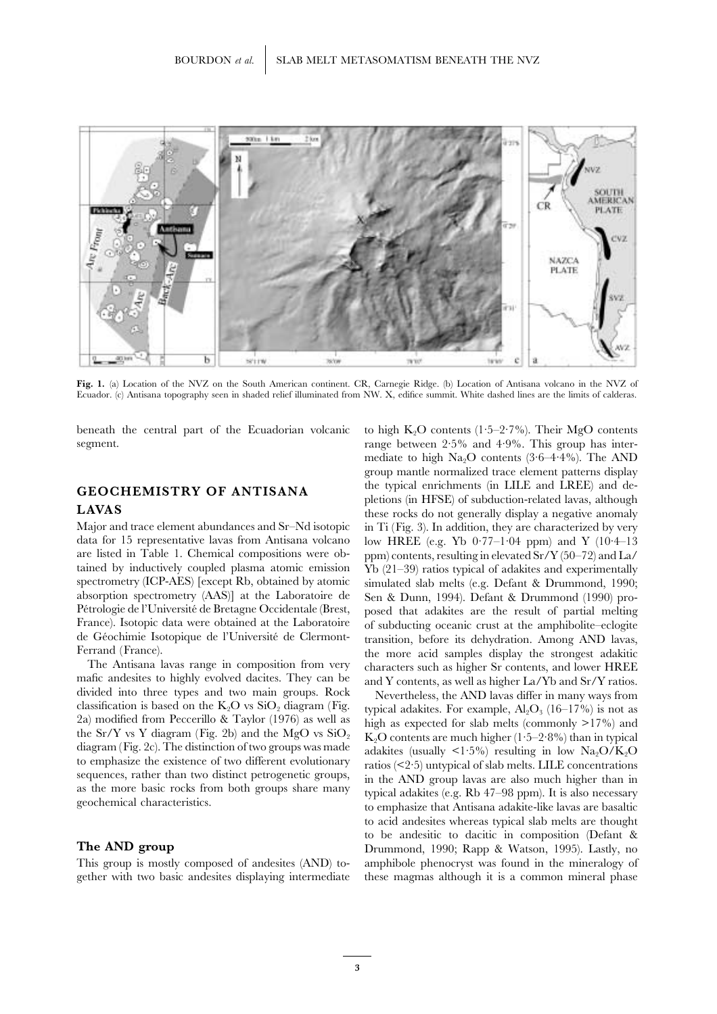

**Fig. 1.** (a) Location of the NVZ on the South American continent. CR, Carnegie Ridge. (b) Location of Antisana volcano in the NVZ of Ecuador. (c) Antisana topography seen in shaded relief illuminated from NW. X, edifice summit. White dashed lines are the limits of calderas.

absorption spectrometry (AAS)] at the Laboratoire de Sen & Dunn, 1994). Defant & Drummond (1990) pro-<br>Pétrologie de l'Université de Bretagne Occidentale (Brest, posed that adakites are the result of partial melting

Ferrand (France).<br>
The Antisana lavas range in composition from very<br>
mafic andesites to highly evolved dacites. They can be<br>
mafic and Y contents, as well as higher Sr contents, and lower HREE<br>
mafic andesites to highly

gether with two basic andesites displaying intermediate these magmas although it is a common mineral phase

beneath the central part of the Ecuadorian volcanic to high  $K_2O$  contents (1.5–2.7%). Their MgO contents segment. This group has intermediate to high  $Na<sub>2</sub>O$  contents (3.6–4.4%). The AND group mantle normalized trace element patterns display **GEOCHEMISTRY OF ANTISANA** the typical enrichments (in LILE and LREE) and de-<br>**LAVAS** these rocks do not generally display a negative anomaly Major and trace element abundances and Sr–Nd isotopic in Ti (Fig. 3). In addition, they are characterized by very data for 15 representative lavas from Antisana volcano low HREE (e.g. Yb 0·77–1·04 ppm) and Y (10·4–13 are listed in Table 1. Chemical compositions were ob-<br>ppm) contents, resulting in elevated Sr/Y (50–72) and La/ ppm) contents, resulting in elevated Sr/Y (50–72) and La/ tained by inductively coupled plasma atomic emission  $\bar{Y}b$  (21–39) ratios typical of adakites and experimentally spectrometry (ICP-AES) [except Rb, obtained by atomic simulated slab melts (e.g. Defant & Drummond, 1990; spectrometry (ICP-AES) [except Rb, obtained by atomic simulated slab melts (e.g. Defant & Drummond, 1990; absorption spectrometry (AAS)] at the Laboratoire de Sen & Dunn, 1994). Defant & Drummond (1990) pro-Pétrologie de l'Université de Bretagne Occidentale (Brest, posed that adakites are the result of partial melting<br>France). Isotopic data were obtained at the Laboratoire of subducting oceanic crust at the amphibolite–eclogi France). Isotopic data were obtained at the Laboratoire of subducting oceanic crust at the amphibolite–eclogite de Ge´ochimie Isotopique de l'Universite´ de Clermont- transition, before its dehydration. Among AND lavas,

to emphasize the existence of two different evolutionary<br>sequences, rather than two distinct petrogenetic groups,<br>as the more basic rocks from both groups share many<br>geochemical characteristics.<br>to emphasize that Antisana to acid andesites whereas typical slab melts are thought to be andesitic to dacitic in composition (Defant & **The AND group** Drummond, 1990; Rapp & Watson, 1995). Lastly, no This group is mostly composed of andesites (AND) to- amphibole phenocryst was found in the mineralogy of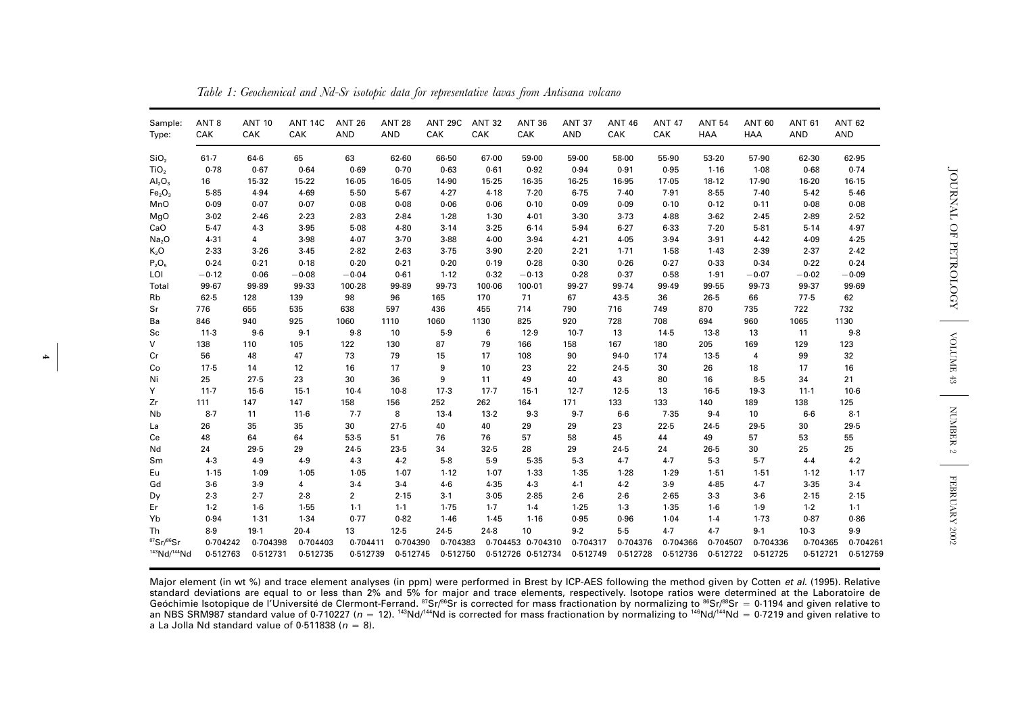| Sample:<br>Type:               | ANT <sub>8</sub><br><b>CAK</b> | <b>ANT 10</b><br>CAK | <b>ANT 14C</b><br>CAK | <b>ANT 26</b><br><b>AND</b> | <b>ANT 28</b><br>AND | <b>ANT 29C</b><br><b>CAK</b> | <b>ANT 32</b><br>CAK | <b>ANT 36</b><br>CAK | <b>ANT 37</b><br><b>AND</b> | <b>ANT 46</b><br>CAK | <b>ANT 47</b><br>CAK | <b>ANT 54</b><br><b>HAA</b> | <b>ANT 60</b><br><b>HAA</b> | <b>ANT 61</b><br><b>AND</b> | <b>ANT 62</b><br>AND |
|--------------------------------|--------------------------------|----------------------|-----------------------|-----------------------------|----------------------|------------------------------|----------------------|----------------------|-----------------------------|----------------------|----------------------|-----------------------------|-----------------------------|-----------------------------|----------------------|
| SiO <sub>2</sub>               | 61.7                           | 64.6                 | 65                    | 63                          | 62.60                | 66-50                        | 67.00                | 59.00                | 59.00                       | 58.00                | 55.90                | 53.20                       | 57.90                       | 62.30                       | 62.95                |
| TiO <sub>2</sub>               | 0.78                           | 0.67                 | 0.64                  | 0.69                        | 0.70                 | 0.63                         | 0.61                 | 0.92                 | 0.94                        | 0.91                 | 0.95                 | 1.16                        | $1-08$                      | 0.68                        | 0.74                 |
| Al <sub>2</sub> O <sub>3</sub> | 16                             | 15.32                | 15.22                 | $16-05$                     | 16.05                | 14.90                        | 15.25                | 16.35                | $16-25$                     | 16.95                | 17.05                | 18.12                       | 17.90                       | $16-20$                     | 16.15                |
| Fe <sub>2</sub> O <sub>3</sub> | 5.85                           | 4.94                 | 4.69                  | $5-50$                      | 5.67                 | 4.27                         | 4.18                 | 7.20                 | 6.75                        | 7.40                 | 7.91                 | 8.55                        | 7.40                        | 5.42                        | 5.46                 |
| MnO                            | 0.09                           | 0.07                 | 0.07                  | 0.08                        | 0.08                 | 0.06                         | 0.06                 | 0.10                 | 0.09                        | 0.09                 | 0.10                 | 0.12                        | 0.11                        | 0.08                        | 0.08                 |
| MgO                            | 3.02                           | 2.46                 | 2.23                  | 2.83                        | 2.84                 | 1.28                         | 1.30                 | 4.01                 | $3-30$                      | 3.73                 | $4 - 88$             | 3.62                        | 2.45                        | 2.89                        | 2.52                 |
| CaO                            | 5.47                           | 4.3                  | 3.95                  | $5-08$                      | 4.80                 | 3.14                         | 3.25                 | 6.14                 | 5.94                        | $6 - 27$             | $6 - 33$             | 7.20                        | $5-81$                      | 5.14                        | 4.97                 |
| Na <sub>2</sub> O              | 4.31                           | 4                    | 3.98                  | $4-07$                      | 3.70                 | 3.88                         | 4.00                 | 3.94                 | 4.21                        | 4.05                 | 3.94                 | 3.91                        | 4.42                        | 4.09                        | 4.25                 |
| $K_2O$                         | 2.33                           | 3.26                 | 3.45                  | 2.82                        | 2.63                 | 3.75                         | 3.90                 | 2.20                 | 2.21                        | 1.71                 | 1.58                 | 1.43                        | 2.39                        | 2.37                        | 2.42                 |
| $P_2O_5$                       | 0.24                           | 0.21                 | 0.18                  | 0.20                        | 0.21                 | 0.20                         | 0.19                 | 0.28                 | 0.30                        | 0.26                 | 0.27                 | 0.33                        | 0.34                        | 0.22                        | 0.24                 |
| LOI                            | $-0.12$                        | 0.06                 | $-0.08$               | $-0.04$                     | 0.61                 | $1-12$                       | 0.32                 | $-0.13$              | 0.28                        | 0.37                 | 0.58                 | 1.91                        | $-0.07$                     | $-0.02$                     | $-0.09$              |
| Total                          | 99.67                          | 99.89                | 99.33                 | 100-28                      | 99.89                | 99.73                        | 100.06               | 100.01               | 99.27                       | 99.74                | 99.49                | 99.55                       | 99.73                       | 99.37                       | 99.69                |
| Rb                             | 62.5                           | 128                  | 139                   | 98                          | 96                   | 165                          | 170                  | 71                   | 67                          | 43.5                 | 36                   | $26-5$                      | 66                          | 77.5                        | 62                   |
| Sr                             | 776                            | 655                  | 535                   | 638                         | 597                  | 436                          | 455                  | 714                  | 790                         | 716                  | 749                  | 870                         | 735                         | 722                         | 732                  |
| Ba                             | 846                            | 940                  | 925                   | 1060                        | 1110                 | 1060                         | 1130                 | 825                  | 920                         | 728                  | 708                  | 694                         | 960                         | 1065                        | 1130                 |
| Sc                             | $11-3$                         | 9.6                  | 9.1                   | 9.8                         | 10                   | 5.9                          | 6                    | 12.9                 | $10-7$                      | 13                   | $14-5$               | 13.8                        | 13                          | 11                          | 9.8                  |
| V                              | 138                            | 110                  | 105                   | 122                         | 130                  | 87                           | 79                   | 166                  | 158                         | 167                  | 180                  | 205                         | 169                         | 129                         | 123                  |
| Cr                             | 56                             | 48                   | 47                    | 73                          | 79                   | 15                           | 17                   | 108                  | 90                          | 94.0                 | 174                  | 13.5                        | 4                           | 99                          | 32                   |
| Co                             | 17.5                           | 14                   | 12                    | 16                          | 17                   | 9                            | 10                   | 23                   | 22                          | 24.5                 | 30                   | 26                          | 18                          | 17                          | 16                   |
| Ni                             | 25                             | 27.5                 | 23                    | 30                          | 36                   | 9                            | 11                   | 49                   | 40                          | 43                   | 80                   | 16                          | 8.5                         | 34                          | 21                   |
| Υ                              | $11-7$                         | $15-6$               | 15.1                  | $10-4$                      | $10-8$               | 17.3                         | 17.7                 | $15-1$               | 12.7                        | 12.5                 | 13                   | $16-5$                      | 19.3                        | $11-1$                      | $10-6$               |
| Zr                             | 111                            | 147                  | 147                   | 158                         | 156                  | 252                          | 262                  | 164                  | 171                         | 133                  | 133                  | 140                         | 189                         | 138                         | 125                  |
| Nb                             | 8.7                            | 11                   | 11.6                  | 7.7                         | 8                    | 13.4                         | 13.2                 | 9.3                  | 9.7                         | $6 - 6$              | 7.35                 | 9.4                         | 10                          | $6-6$                       | 8.1                  |
| La                             | 26                             | 35                   | 35                    | 30                          | 27.5                 | 40                           | 40                   | 29                   | 29                          | 23                   | 22.5                 | 24.5                        | 29.5                        | 30                          | 29.5                 |
| Ce                             | 48                             | 64                   | 64                    | 53.5                        | 51                   | 76                           | 76                   | 57                   | 58                          | 45                   | 44                   | 49                          | 57                          | 53                          | 55                   |
| Nd                             | 24                             | 29.5                 | 29                    | 24.5                        | 23.5                 | 34                           | 32.5                 | 28                   | 29                          | 24.5                 | 24                   | $26-5$                      | 30                          | 25                          | 25                   |
| Sm                             | 4.3                            | 4.9                  | 4.9                   | 4.3                         | 4.2                  | 5.8                          | 5.9                  | 5.35                 | 5.3                         | 4.7                  | 4.7                  | 5.3                         | 5.7                         | 4.4                         | 4.2                  |
| Eu                             | 1.15                           | 1.09                 | 1.05                  | $1-05$                      | $1-07$               | $1-12$                       | $1-07$               | 1.33                 | 1.35                        | 1.28                 | $1-29$               | 1.51                        | 1.51                        | $1-12$                      | 1.17                 |
| Gd                             | $3-6$                          | 3.9                  | 4                     | $3-4$                       | $3-4$                | 4.6                          | 4.35                 | 4.3                  | 4.1                         | 4.2                  | 3.9                  | 4.85                        | 4.7                         | 3.35                        | 3.4                  |
| Dy                             | 2.3                            | 2.7                  | 2.8                   | $\overline{2}$              | 2.15                 | $3-1$                        | 3.05                 | 2.85                 | 2.6                         | 2.6                  | 2.65                 | $3-3$                       | $3-6$                       | 2.15                        | 2.15                 |
| Er                             | $1-2$                          | $1-6$                | 1.55                  | $1-1$                       | $1-1$                | 1.75                         | $1-7$                | 1.4                  | 1.25                        | $1-3$                | 1.35                 | $1-6$                       | 1.9                         | $1-2$                       | $1-1$                |
| Yb                             | 0.94                           | 1.31                 | 1.34                  | 0.77                        | 0.82                 | 1.46                         | 1.45                 | 1.16                 | 0.95                        | 0.96                 | $1-04$               | 1.4                         | 1.73                        | 0.87                        | 0.86                 |
| Th                             | 8.9                            | 19.1                 | 20.4                  | 13                          | 12.5                 | 24.5                         | 24.8                 | 10                   | 9.2                         | 5.5                  | 4.7                  | 4.7                         | 9.1                         | $10-3$                      | 9.9                  |
| $87$ Sr/ $86$ Sr               | 0.704242                       | 0.704398             | 0.704403              | 0.704411                    | 0.704390             | 0.704383                     |                      | 0.704453 0.704310    | 0.704317                    | 0.704376             | 0.704366             | 0.704507                    | 0.704336                    | 0.704365                    | 0.704261             |
| 143Nd/144Nd                    | 0.512763                       | 0.512731             | 0.512735              | 0.512739                    | 0.512745             | 0.512750                     |                      | 0.512726 0.512734    | 0.512749                    | 0.512728             | 0.512736             | 0.512722                    | 0.512725                    | 0.512721                    | 0.512759             |

Table 1: Geochemical and Nd-Sr isotopic data for representative lavas from Antisana volcano

**4**

Major element (in wt %) and trace element analyses (in ppm) were performed in Brest by ICP-AES following the method given by Cotten *et al.* (1995). Relative standard deviations are equal to or less than 2% and 5% for major and trace elements, respectively. Isotope ratios were determined at the Laboratoire de<br>Geóchimie Isotopique de l'Université de Clermont-Ferrand. <sup>87</sup>Sr/<sup>86</sup> an NBS SRM987 standard value of 0<sub>·</sub>710227 ( $n=12$ ). <sup>143</sup>Nd/<sup>144</sup>Nd is corrected for mass fractionation by normalizing to <sup>146</sup>Nd/<sup>144</sup>Nd = 0·7219 and given relative to <sup>a</sup> La Jolla Nd standard value of 0·511838 (*<sup>n</sup>* <sup>=</sup> 8).

JOURNAL OF PETROLOGY  $\Big|$  volume 43  $\Big|$  number 2 FEBRUARY 2002 JOURNAL OF PETROLOGY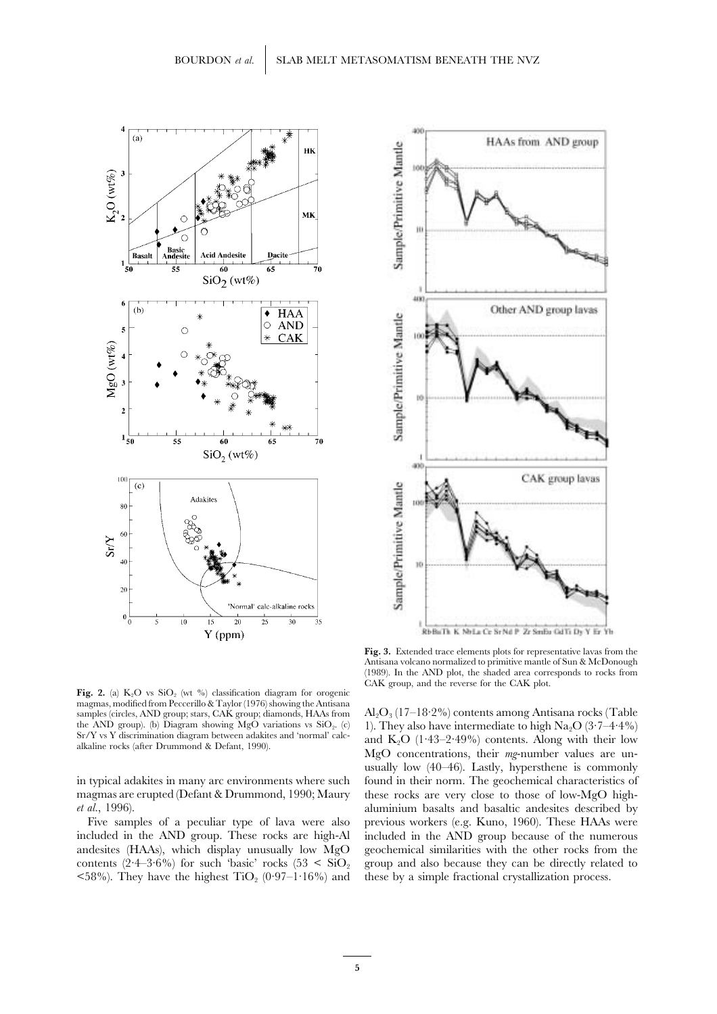



**Fig. 2.** (a)  $K_2O$  vs  $SiO_2$  (wt %) classification diagram for orogenic magmas, modified from Peccerillo & Taylor (1976) showing the Antisana

included in the AND group. These rocks are high-Al included in the AND group because of the numerous andesites (HAAs), which display unusually low MgO geochemical similarities with the other rocks from the andesites (HAAs), which display unusually low MgO geochemical similarities with the other rocks from the contents  $(2.4-3.6%)$  for such 'basic' rocks  $(53 < SiO<sub>2</sub>)$  group and also because they can be directly related to  $\leq$ 58%). They have the highest TiO<sub>2</sub> (0·97–1·16%) and these by a simple fractional crystallization process.

**Fig. 3.** Extended trace elements plots for representative lavas from the Antisana volcano normalized to primitive mantle of Sun & McDonough (1989). In the AND plot, the shaded area corresponds to rocks from CAK group, and the reverse for the CAK plot.

samples (circles, AND group; stars, CAK group; diamonds, HAAs from  $A_2O_3$  (17–18·2%) contents among Antisana rocks (Table the AND group). (b) Diagram showing MgO variations vs SiO<sub>2</sub>. (c) 1). They also have intermediate the AND group). (b) Diagram showing MgO variations vs SiO<sub>2</sub>. (c) 1). They also have intermediate to high Na<sub>2</sub>O (3·7–4·4%) Sr/Y vs Y discrimination diagram between adakites and 'normal' calc-<br>alkaline rocks (after Drummo usually low (40–46). Lastly, hypersthene is commonly in typical adakites in many arc environments where such found in their norm. The geochemical characteristics of magmas are erupted (Defant & Drummond, 1990; Maury these rocks are very close to those of low-MgO high*et al.*, 1996). aluminium basalts and basaltic andesites described by Five samples of a peculiar type of lava were also previous workers (e.g. Kuno, 1960). These HAAs were group and also because they can be directly related to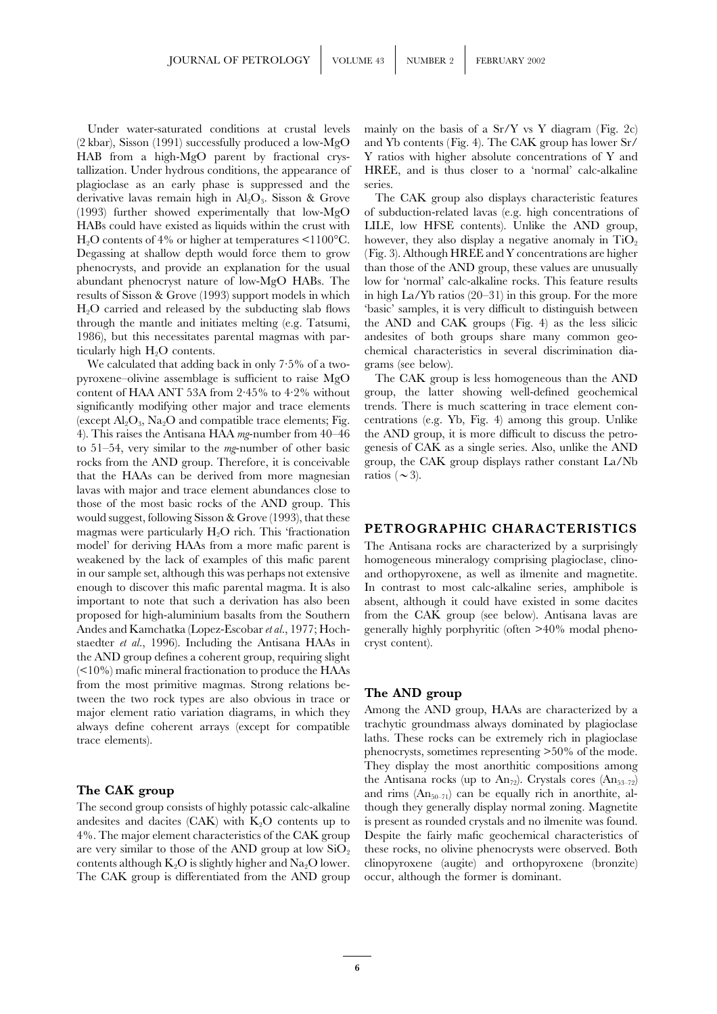$(2 \text{ kbar})$ , Sisson (1991) successfully produced a low-MgO and Yb contents (Fig. 4). The CAK group has lower Sr/ HAB from a high-MgO parent by fractional crys- Y ratios with higher absolute concentrations of Y and tallization. Under hydrous conditions, the appearance of HREE, and is thus closer to a 'normal' calc-alkaline plagioclase as an early phase is suppressed and the series. derivative lavas remain high in  $Al_2O_3$ . Sisson & Grove The CAK group also displays characteristic features HABs could have existed as liquids within the crust with LILE, low HFSE contents). Unlike the AND group, H<sub>2</sub>O contents of 4% or higher at temperatures  $\leq 1100^{\circ}$ C. however, they also display a negative anomaly in TiO<sub>2</sub> Degassing at shallow depth would force them to grow (Fig. 3). Although HREE and Y concentrations are higher phenocrysts, and provide an explanation for the usual than those of the AND group, these values are unusually abundant phenocryst nature of low-MgO HABs. The low for 'normal' calc-alkaline rocks. This feature results results of Sisson & Grove (1993) support models in which in high La/Yb ratios (20–31) in this group. For the more H2O carried and released by the subducting slab flows 'basic' samples, it is very difficult to distinguish between through the mantle and initiates melting (e.g. Tatsumi, the AND and CAK groups (Fig. 4) as the less silicic 1986), but this necessitates parental magmas with par- andesites of both groups share many common geoticularly high H<sub>2</sub>O contents. chemical characteristics in several discrimination dia-

We calculated that adding back in only 7.5% of a two- grams (see below). pyroxene–olivine assemblage is sufficient to raise MgO The CAK group is less homogeneous than the AND content of HAA ANT 53A from 2·45% to 4·2% without group, the latter showing well-defined geochemical significantly modifying other major and trace elements trends. There is much scattering in trace element con-(except  $\text{Al}_2\text{O}_3$ , Na<sub>2</sub>O and compatible trace elements; Fig. centrations (e.g. Yb, Fig. 4) among this group. Unlike 4). This raises the Antisana HAA *mg*-number from 40–46 the AND group, it is more difficult to discuss the petroto 51–54, very similar to the *mg*-number of other basic genesis of CAK as a single series. Also, unlike the AND rocks from the AND group. Therefore, it is conceivable group, the CAK group displays rather constant La/Nb that the HAAs can be derived from more magnesian ratios  $(\sim 3)$ . lavas with major and trace element abundances close to those of the most basic rocks of the AND group. This would suggest, following Sisson & Grove (1993), that these magmas were particularly H<sub>2</sub>O rich. This 'fractionation **PETROGRAPHIC CHARACTERISTICS** model' for deriving HAAs from a more mafic parent is The Antisana rocks are characterized by a surprisingly weakened by the lack of examples of this mafic parent homogeneous mineralogy comprising plagioclase, clinoin our sample set, although this was perhaps not extensive and orthopyroxene, as well as ilmenite and magnetite. enough to discover this mafic parental magma. It is also In contrast to most calc-alkaline series, amphibole is important to note that such a derivation has also been absent, although it could have existed in some dacites proposed for high-aluminium basalts from the Southern from the CAK group (see below). Antisana lavas are Andes and Kamchatka (Lopez-Escobar*et al.*, 1977; Hoch- generally highly porphyritic (often >40% modal phenostaedter *et al.*, 1996). Including the Antisana HAAs in cryst content). the AND group defines a coherent group, requiring slight  $(<10\%)$  mafic mineral fractionation to produce the HAAs from the most primitive magmas. Strong relations be-<br>tween the two rock types are also obvious in trace or **The AND group**, HAAs are characterized by a<br>major element ratio variation diagrams in which they Among the AND gro major element ratio variation diagrams, in which they always define coherent arrays (except for compatible trachytic groundmass always dominated by plagioclase laths. These rocks can be extremely rich in plagioclase trace elements).

andesites and dacites  $(CAK)$  with  $K<sub>2</sub>O$  contents up to is present as rounded crystals and no ilmenite was found. are very similar to those of the AND group at low  $SiO<sub>2</sub>$  these rocks, no olivine phenocrysts were observed. Both contents although  $K_2O$  is slightly higher and  $Na_2O$  lower. clinopyroxene (augite) and orthopyroxene (bronzite) The CAK group is differentiated from the AND group occur, although the former is dominant. The CAK group is differentiated from the AND group

Under water-saturated conditions at crustal levels mainly on the basis of a Sr/Y vs Y diagram (Fig. 2c)

(1993) further showed experimentally that low-MgO of subduction-related lavas (e.g. high concentrations of

The Antisana rocks are characterized by a surprisingly

phenocrysts, sometimes representing >50% of the mode. They display the most anorthitic compositions among **The CAK group** the Antisana rocks (up to An<sub>72</sub>). Crystals cores (An<sub>53–72</sub>)<br>and rims (An<sub>50–71</sub>) can be equally rich in anorthite, al-The second group consists of highly potassic calc-alkaline though they generally display normal zoning. Magnetite 4%. The major element characteristics of the CAK group Despite the fairly mafic geochemical characteristics of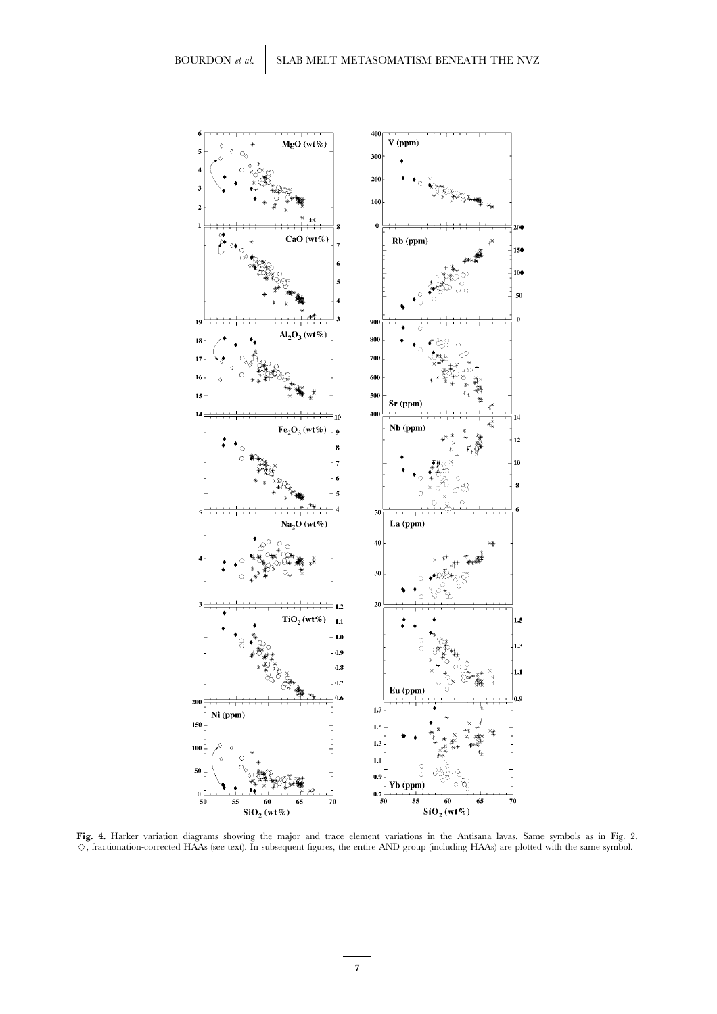

**Fig. 4.** Harker variation diagrams showing the major and trace element variations in the Antisana lavas. Same symbols as in Fig. 2.  $\diamondsuit$ , fractionation-corrected HAAs (see text). In subsequent figures, the entire AND group (including HAAs) are plotted with the same symbol.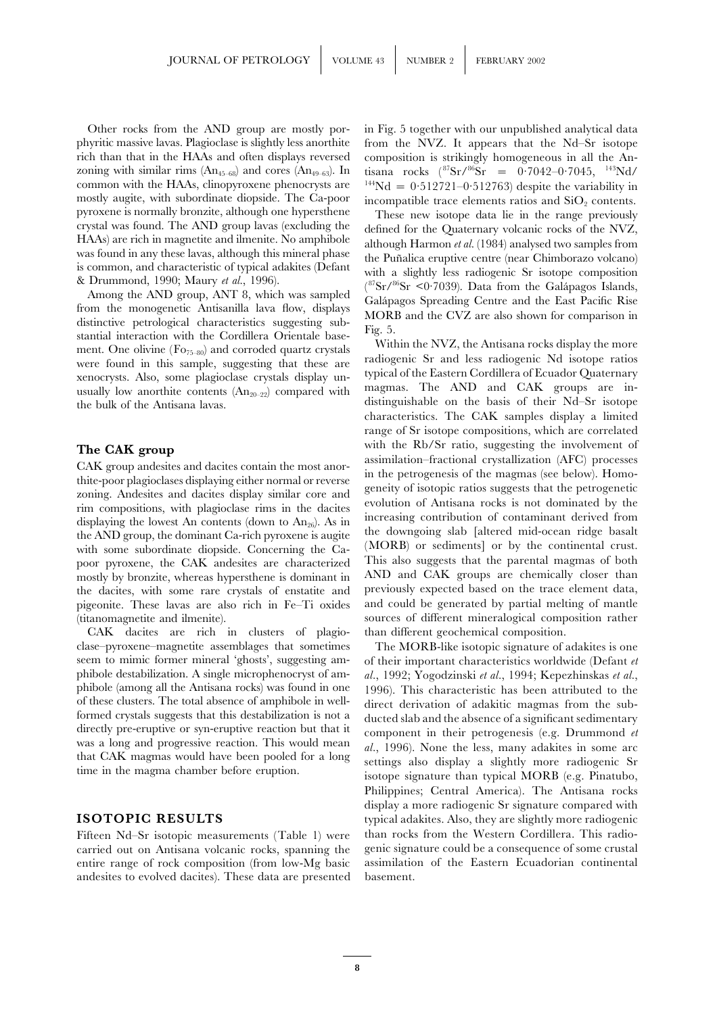phyritic massive lavas. Plagioclase is slightly less anorthite from the NVZ. It appears that the Nd–Sr isotope rich than that in the HAAs and often displays reversed composition is strikingly homogeneous in all the Anzoning with similar rims  $(An_{45-68})$  and cores  $(An_{49-63})$ . In tisana rocks  $({}^{87}Sr/{}^{86}Sr = 0.7042-0.7045, {}^{143}Nd/$ common with the HAAs, clinopyroxene phenocrysts are  $144Nd = 0.512721-0.512763$  despite the variability in mostly augite, with subordinate diopside. The Ca-poor incompatible trace elements ratios and  $SiO_2$  contents.<br>pyroxene is normally bronzite, although one hypersthene These new isotone data lie in the range previously

 $\alpha$  Drummond, 1990; Madry *et al.*, 1990).<br>
Among the AND group, ANT 8, which was sampled  $^{(87}Sr/^{86}Sr \le 0.7039)$ . Data from the Galápagos Islands,<br>
from the monogenetic Antisanilla lava flow, displays Galápagos Spreadi

the AND group, the dominant Ca-rich pyroxene is augite the downgoing stab [altered mid-ocean ridge basalt with some subordinate diopside. Concerning the Ca- (MORB) or sediments] or by the continental crust. poor pyroxene, the CAK andesites are characterized This also suggests that the parental magmas of both mostly by bronzite, whereas hypersthene is dominant in AND and CAK groups are chemically closer than the dacites, with some rare crystals of enstatite and previously expected based on the trace element data, pigeonite. These lavas are also rich in Fe–Ti oxides and could be generated by partial melting of mantle (titanomagnetite and ilmenite). sources of different mineralogical composition rather

CAK dacites are rich in clusters of plagio- than different geochemical composition. clase–pyroxene–magnetite assemblages that sometimes The MORB-like isotopic signature of adakites is one seem to mimic former mineral 'ghosts', suggesting am- of their important characteristics worldwide (Defant *et* phibole destabilization. A single microphenocryst of am- *al.*, 1992; Yogodzinski *et al.*, 1994; Kepezhinskas *et al.*, phibole (among all the Antisana rocks) was found in one 1996). This characteristic has been attributed to the of these clusters. The total absence of amphibole in well-<br>direct derivation of adaktic magmas from the subof these clusters. The total absence of amphibole in well-<br>formed crystals suggests that this destabilization is not a<br>direct derivation of adaktic magmas from the sub-<br>formed crystals suggests that this destabilization i

carried out on Antisana volcanic rocks, spanning the genic signature could be a consequence of some crustal entire range of rock composition (from low-Mg basic assimilation of the Eastern Ecuadorian continental andesites to evolved dacites). These data are presented basement.

Other rocks from the AND group are mostly por- in Fig. 5 together with our unpublished analytical data

pyroxene is normally bronzite, although one hypersthene<br>crystal was found. The AND group lavas (excluding the<br>HAAs) are rich in magnetite and ilmenite. No amphibole<br>was found in any these lavas, although this mineral phas

characteristics. The CAK samples display a limited range of Sr isotope compositions, which are correlated **The CAK group**<br>CAK group<br>CAK group andesites and dacites contain the most anor-<br>thite-poor plagioclases displaying either normal or reverse<br>in the petrogenesis of the magmas (see below). Homo-<br>geneity of isotopic ratios

was a long and progressive reaction. This would mean al., 1996). None the less, many adakites in some arc that CAK magmas would have been pooled for a long settings also display a slightly more radiogenic Sr time in the ma Philippines; Central America). The Antisana rocks display a more radiogenic Sr signature compared with **ISOTOPIC RESULTS** typical adakites. Also, they are slightly more radiogenic Fifteen Nd–Sr isotopic measurements (Table 1) were than rocks from the Western Cordillera. This radio-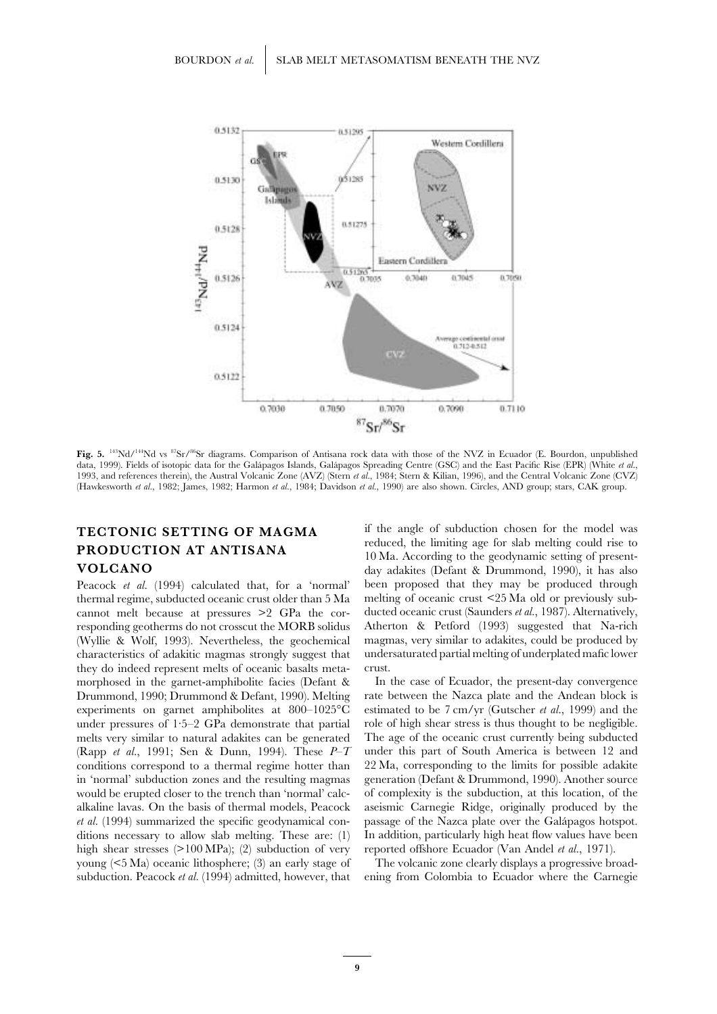

**Fig. 5.** 143Nd/144Nd vs 87Sr/86Sr diagrams. Comparison of Antisana rock data with those of the NVZ in Ecuador (E. Bourdon, unpublished data, 1999). Fields of isotopic data for the Galápagos Islands, Galápagos Spreading Centre (GSC) and the East Pacific Rise (EPR) (White *et al.*, 1993, and references therein), the Austral Volcanic Zone (AVZ) (Stern *et al.*, 1984; Stern & Kilian, 1996), and the Central Volcanic Zone (CVZ) (Hawkesworth *et al.*, 1982; James, 1982; Harmon *et al.*, 1984; Davidson *et al.*, 1990) are also shown. Circles, AND group; stars, CAK group.

thermal regime, subducted oceanic crust older than 5 Ma they do indeed represent melts of oceanic basalts meta- crust. morphosed in the garnet-amphibolite facies (Defant & In the case of Ecuador, the present-day convergence Drummond, 1990; Drummond & Defant, 1990). Melting rate between the Nazca plate and the Andean block is experiments on garnet amphibolites at 800–1025°C estimated to be 7 cm/yr (Gutscher *et al.*, 1999) and the under pressures of  $1.5-2$  GPa demonstrate that partial role of high shear stress is thus thought to be negligible. melts very similar to natural adakites can be generated The age of the oceanic crust currently being subducted (Rapp *et al.*, 1991; Sen & Dunn, 1994). These *P*–*T* under this part of South America is between 12 and conditions correspond to a thermal regime hotter than 22 Ma, corresponding to the limits for possible adakite in 'normal' subduction zones and the resulting magmas generation (Defant & Drummond, 1990). Another source would be erupted closer to the trench than 'normal' calc- of complexity is the subduction, at this location, of the alkaline lavas. On the basis of thermal models, Peacock aseismic Carnegie Ridge, originally produced by the *et al.* (1994) summarized the specific geodynamical con- passage of the Nazca plate over the Galápagos hotspot. ditions necessary to allow slab melting. These are: (1) In addition, particularly high heat flow values have been high shear stresses (>100 MPa); (2) subduction of very reported offshore Ecuador (Van Andel *et al.*, 1971). young (<5 Ma) oceanic lithosphere; (3) an early stage of The volcanic zone clearly displays a progressive broadsubduction. Peacock *et al.* (1994) admitted, however, that ening from Colombia to Ecuador where the Carnegie

**TECTONIC SETTING OF MAGMA** if the angle of subduction chosen for the model was<br>reduced, the limiting age for slab melting could rise to **PRODUCTION AT ANTISANA** 10 Ma. According to the geodynamic setting of present-<br>**PRODUCTION AT ANTISANA** 10 Ma. According to the geodynamic setting of present-<br>day adakites (Defant & Drummond 1990) it has also day adakites (Defant & Drummond, 1990), it has also Peacock *et al.* (1994) calculated that, for a 'normal' been proposed that they may be produced through thermal regime, subducted oceanic crust older than 5 Ma melting of oceanic crust <25 Ma old or previously subcannot melt because at pressures >2 GPa the cor- ducted oceanic crust (Saunders *et al.*, 1987). Alternatively, responding geotherms do not crosscut the MORB solidus Atherton & Petford (1993) suggested that Na-rich (Wyllie & Wolf, 1993). Nevertheless, the geochemical magmas, very similar to adakites, could be produced by characteristics of adakitic magmas strongly suggest that undersaturated partial melting of underplated mafic lower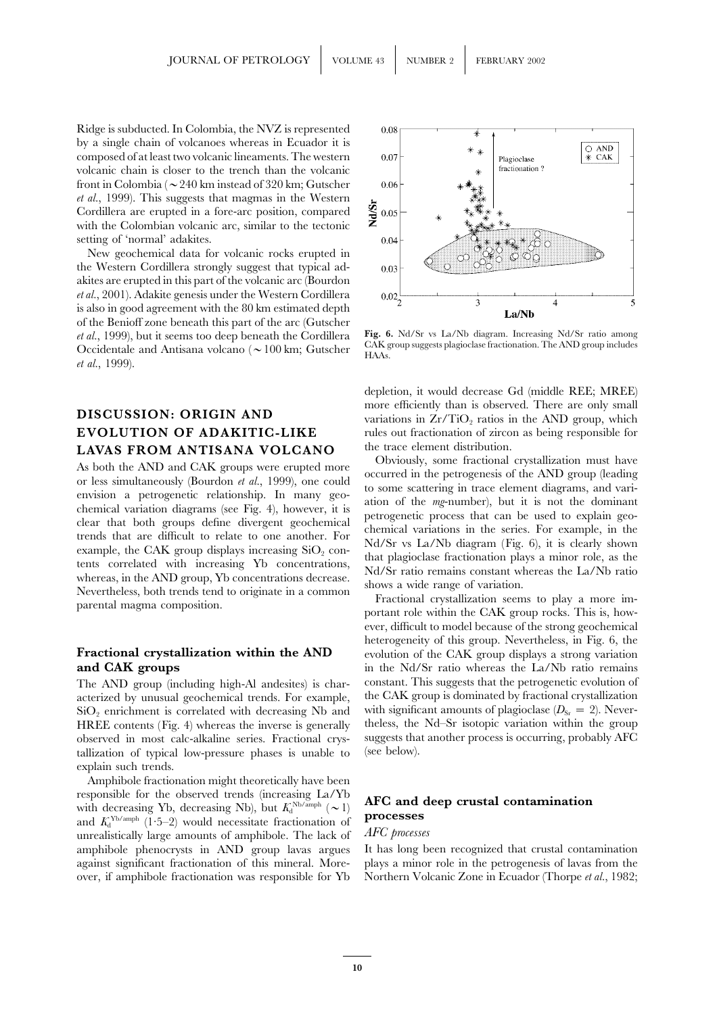Ridge is subducted. In Colombia, the NVZ is represented by a single chain of volcanoes whereas in Ecuador it is composed of at least two volcanic lineaments. The western volcanic chain is closer to the trench than the volcanic front in Colombia ( $\sim$  240 km instead of 320 km; Gutscher *et al.*, 1999). This suggests that magmas in the Western Cordillera are erupted in a fore-arc position, compared with the Colombian volcanic arc, similar to the tectonic setting of 'normal' adakites.

New geochemical data for volcanic rocks erupted in the Western Cordillera strongly suggest that typical adakites are erupted in this part of the volcanic arc (Bourdon *et al.*, 2001). Adakite genesis under the Western Cordillera is also in good agreement with the 80 km estimated depth of the Benioff zone beneath this part of the arc (Gutscher *et al.*, 1999), but it seems too deep beneath the Cordillera<br>
Cordillera<br>
CAK group suggests plagioclase fractionation. The AND group includes<br>
Occidentale and Antisana volcano ( $\sim$  100 km; Gutscher<br>
HAAs. *et al.*, 1999).

# **LAVAS FROM ANTISANA VOLCANO** the trace element distribution.<br>Obviously, some fractional crystallization must have

As both the AND and CAK groups were erupted more<br>or less simultaneously (Bourdon *et al.*, 1999), one could<br>occurred in the petrogenesis of the AND group (leading<br>envision a petrogenetic relationship. In many geo-<br>to some

acterized by unusual geochemical trends. For example, SiO<sub>2</sub> enrichment is correlated with decreasing Nb and with significant amounts of plagioclase ( $D_{\rm Sr} = 2$ ). Nevertallization of typical low-pressure phases is unable to (see below). explain such trends.

Amphibole fractionation might theoretically have been responsible for the observed trends (increasing La/Yb **AFC and deep crustal contamination** with decreasing Yb, decreasing Nb), but  $K_d^{\text{Nb/amp}}$  ( $\sim$ 1) **AFC and deep crustal contamination** with decreasing Yb, decreasing Nb), but  $K_d^{\text{Nb/amp}}$  ( $\sim$ 1) **AFC and** and  $K_d^{\text{Nb/amp}}$  (1.5–2) would necessitate fractionation of and  $K_d^{\text{Yb/amp}}$  (1.5–2) would necessitate fractionation of unrealistically large amounts of amphibole. The lack of *AFC processes* amphibole phenocrysts in AND group lavas argues It has long been recognized that crustal contamination



depletion, it would decrease Gd (middle REE; MREE) **DISCUSSION: ORIGIN AND**<br> **DISCUSSION: ORIGIN AND**<br> **EVOLUTION OF ADAKITIC-LIKE** values out fractionation of zircon as being responsible for rules out fractionation of zircon as being responsible for

ever, difficult to model because of the strong geochemical heterogeneity of this group. Nevertheless, in Fig. 6, the Fractional crystallization within the AND evolution of the CAK group displays a strong variation **and CAK groups** in the Nd/Sr ratio whereas the La/Nb ratio remains The AND group (including high-Al andesites) is char-<br>acterized by unusual geochemical trends. For example the CAK group is dominated by fractional crystallization HREE contents (Fig. 4) whereas the inverse is generally theless, the Nd–Sr isotopic variation within the group observed in most calc-alkaline series. Fractional crys- suggests that another process is occurring, probably AFC

against significant fractionation of this mineral. More- plays a minor role in the petrogenesis of lavas from the over, if amphibole fractionation was responsible for Yb Northern Volcanic Zone in Ecuador (Thorpe *et al.*, 1982;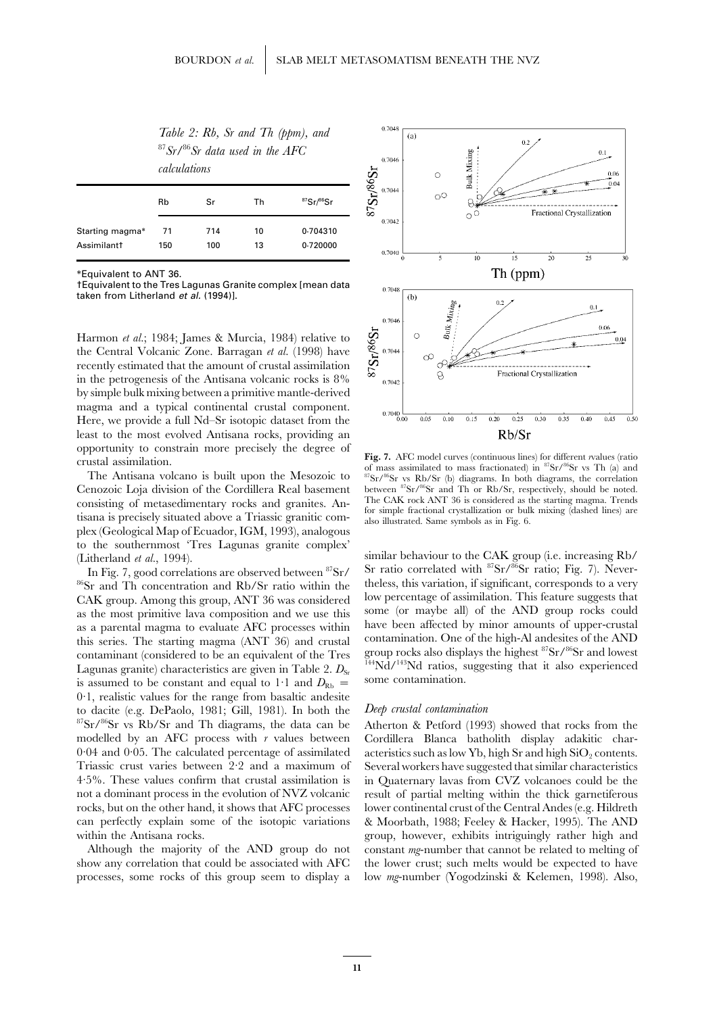## *Table 2: Rb, Sr and Th (ppm), and* <sup>87</sup>*Sr/*<sup>86</sup>*Sr data used in the AFC calculations*

|                                            | Rb        | Sr         | Th       | $87$ Sr $/86$ Sr     |
|--------------------------------------------|-----------|------------|----------|----------------------|
| Starting magma*<br>Assimilant <sup>+</sup> | 71<br>150 | 714<br>100 | 10<br>13 | 0.704310<br>0.720000 |

∗Equivalent to ANT 36.

†Equivalent to the Tres Lagunas Granite complex [mean data taken from Litherland *et al.* (1994)].

Harmon *et al.*; 1984; James & Murcia, 1984) relative to the Central Volcanic Zone. Barragan *et al.* (1998) have recently estimated that the amount of crustal assimilation in the petrogenesis of the Antisana volcanic rocks is 8% by simple bulk mixing between a primitive mantle-derived magma and a typical continental crustal component. Here, we provide a full Nd–Sr isotopic dataset from the least to the most evolved Antisana rocks, providing an

Cenozoic Loja division of the Cordillera Real basement between  ${}^{87}Sr/{}^{86}Sr$  and Th or Rb/Sr, respectively, should be noted.<br>
consisting of metasedimentary rocks and granites Angle The CAK rock ANT 36 is considered as t consisting of metasedimentary rocks and granites. An-<br>tisana is precisely situated above a Triassic granitic com-<br>diso illustrated. Same symbols as in Fig. 6. plex (Geological Map of Ecuador, IGM, 1993), analogous

is assumed to be constant and equal to 1·1 and  $D_{\text{Rb}} =$ 0·1, realistic values for the range from basaltic andesite to dacite (e.g. DePaolo, 1981; Gill, 1981). In both the *Deep crustal contamination* 87Sr/86Sr vs Rb/Sr and Th diagrams, the data can be Atherton & Petford (1993) showed that rocks from the modelled by an AFC process with *r* values between Cordillera Blanca batholith display adakitic char- $0.04$  and  $0.05$ . The calculated percentage of assimilated acteristics such as low Yb, high Sr and high SiO<sub>2</sub> contents. Triassic crust varies between 2·2 and a maximum of Several workers have suggested that similar characteristics 4·5%. These values confirm that crustal assimilation is in Quaternary lavas from CVZ volcanoes could be the not a dominant process in the evolution of NVZ volcanic result of partial melting within the thick garnetiferous rocks, but on the other hand, it shows that AFC processes lower continental crust of the Central Andes (e.g. Hildreth can perfectly explain some of the isotopic variations & Moorbath, 1988; Feeley & Hacker, 1995). The AND

show any correlation that could be associated with AFC the lower crust; such melts would be expected to have processes, some rocks of this group seem to display a low *mg*-number (Yogodzinski & Kelemen, 1998). Also,



opportunity to constrain more precisely the degree of **Fig. 7.** AFC model curves (continuous lines) for different *rvalues* (ratio crustal assimilation.<br>The Antisana volcano is built upon the Mesozoic to  $\frac{\pi}{8}$   $\frac{1}{8$ 

to the southernmost 'Tres Lagunas granite complex'<br>
(Litherland *et al.*, 1994).<br>
In Fig. 7, good correlations are observed between <sup>87</sup>Sr/ Sr ratio correlated with <sup>87</sup>Sr/<sup>86</sup>Sr ratio; Fig. 7). Never-<br>
<sup>86</sup>Sr and Th conc <sup>86</sup>Sr and Th concentration and Rb/Sr ratio within the theless, this variation, if significant, corresponds to a very CAK group Among this group ANT 36 was considered low percentage of assimilation. This feature suggests CAK group. Among this group, ANT 36 was considered low percentage of assimilation. This feature suggests that as the most primitive lava composition and we use this some (or maybe all) of the AND group rocks could as the most primitive lava composition and we use this some (or maybe all) of the AND group rocks could as a parental magma to evaluate AFC processes within have been affected by minor amounts of upper-crustal this series. The starting magma (ANT 36) and crustal contamination. One of the high-Al andesites of the AND contaminant (considered to be an equivalent of the Tres group rocks also displays the highest  $87$ Sr $/86$ Sr and l contaminant (considered to be an equivalent of the Tres<br>Lagunas granite) characteristics are given in Table 2.  $D_{\rm s}$ <br>is assumed to be constant and equal to 1:1 and  $D_{\rm s}$  some contamination.

within the Antisana rocks. The group, however, exhibits intriguingly rather high and Although the majority of the AND group do not constant *mg*-number that cannot be related to melting of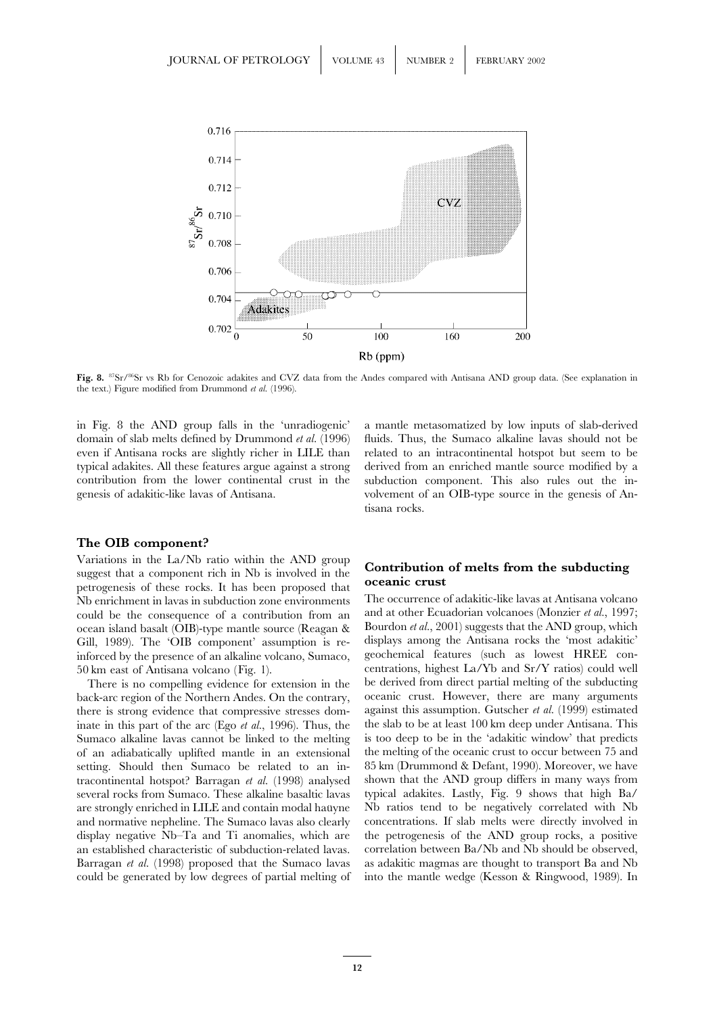

Fig. 8. <sup>87</sup>Sr/<sup>86</sup>Sr vs Rb for Cenozoic adakites and CVZ data from the Andes compared with Antisana AND group data. (See explanation in the text.) Figure modified from Drummond *et al.* (1996).

in Fig. 8 the AND group falls in the 'unradiogenic' a mantle metasomatized by low inputs of slab-derived domain of slab melts defined by Drummond *et al.* (1996) fluids. Thus, the Sumaco alkaline lavas should not be even if Antisana rocks are slightly richer in LILE than related to an intracontinental hotspot but seem to be typical adakites. All these features argue against a strong derived from an enriched mantle source modified by a contribution from the lower continental crust in the subduction component. This also rules out the ingenesis of adakitic-like lavas of Antisana. volvement of an OIB-type source in the genesis of An-

tisana rocks.

## **The OIB component?**

Variations in the La/Nb ratio within the AND group<br>suggest that a component rich in Nb is involved in the<br>petrogenesis of these rocks. It has been proposed that<br>Nb enrichment in layas in subduction zone environments<br>The o Nb enrichment in lavas in subduction zone environments could be the consequence of a contribution from an and at other Ecuadorian volcanoes (Monzier *et al.*, 1997;<br>ocean island basalt (OIB)-type mantle source (Reagan & Bourdon *et al.*, 2001) suggests that the AND group, whic ocean island basalt (OIB)-type mantle source (Reagan & Bourdon *et al.*, 2001) suggests that the AND group, which<br>Gill 1989). The 'OIB component' assumption is re-<br>displays among the Antisana rocks the 'most adakitic' Gill, 1989). The 'OIB component' assumption is re-<br>inforced by the presence of an alkaline volcano. Sumaco geochemical features (such as lowest HREE coninforced by the presence of an alkaline volcano, Sumaco,

back-arc region of the Northern Andes. On the contrary, oceanic crust. However, there are many arguments there is strong evidence that compressive stresses dom-<br>against this assumption. Gutscher *et al.* (1999) estimated there is strong evidence that compressive stresses dominate in this part of the arc (Ego *et al.*, 1996). Thus, the the slab to be at least 100 km deep under Antisana. This Sumaco alkaline lavas cannot be linked to the melting is too deep to be in the 'adakitic window' that p Sumaco alkaline lavas cannot be linked to the melting of an adiabatically uplifted mantle in an extensional the melting of the oceanic crust to occur between 75 and setting. Should then Sumaco be related to an in- 85 km (Drummond & Defant, 1990). Moreover, we have tracontinental hotspot? Barragan *et al.* (1998) analysed shown that the AND group differs in many ways from several rocks from Sumaco. These alkaline basaltic lavas typical adakites. Lastly, Fig. 9 shows that high Ba/ are strongly enriched in LILE and contain modal hauvne Nb ratios tend to be negatively correlated with Nb and normative nepheline. The Sumaco lavas also clearly concentrations. If slab melts were directly involved in display negative Nb–Ta and Ti anomalies, which are the petrogenesis of the AND group rocks, a positive an established characteristic of subduction-related lavas. correlation between Ba/Nb and Nb should be observed, Barragan *et al.* (1998) proposed that the Sumaco lavas as adakitic magmas are thought to transport Ba and Nb could be generated by low degrees of partial melting of into the mantle wedge (Kesson & Ringwood, 1989). In

50 km east of Antisana volcano (Fig. 1). centrations, highest La/Yb and Sr/Y ratios) could well<br>There is no compelling evidence for extension in the be derived from direct partial melting of the subducting There is no compelling evidence for extension in the be derived from direct partial melting of the subducting<br>external method of the Northern Andes. On the contrary oceanic crust. However, there are many arguments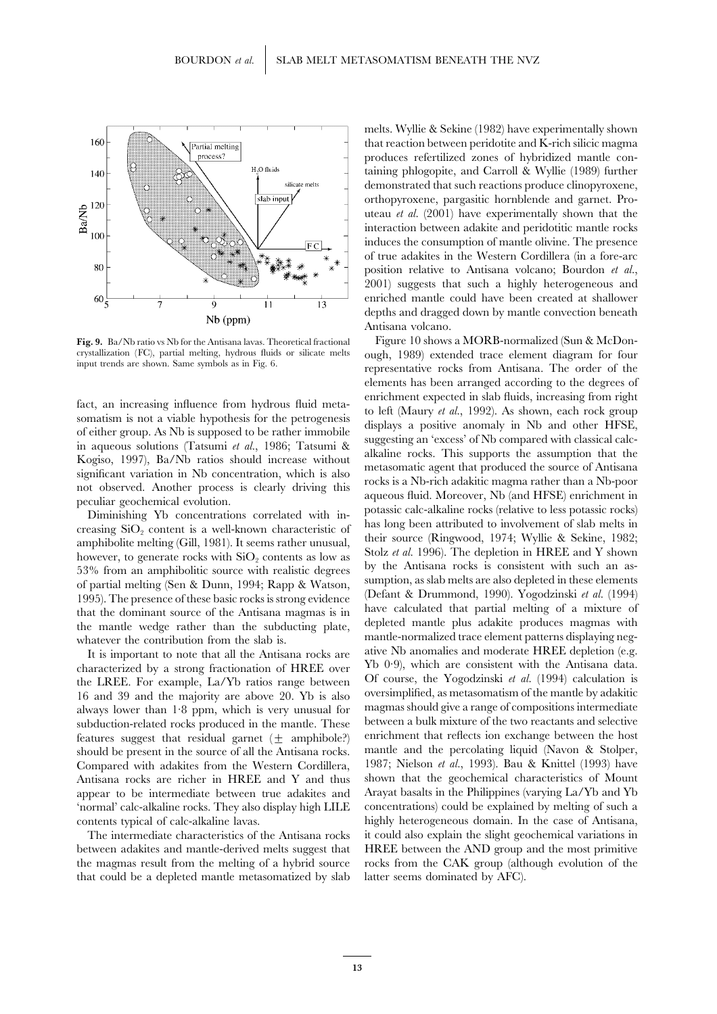

should be present in the source of all the Antisana rocks.

that could be a depleted mantle metasomatized by slab latter seems dominated by AFC).

melts. Wyllie & Sekine (1982) have experimentally shown that reaction between peridotite and K-rich silicic magma produces refertilized zones of hybridized mantle containing phlogopite, and Carroll & Wyllie (1989) further demonstrated that such reactions produce clinopyroxene, orthopyroxene, pargasitic hornblende and garnet. Prouteau *et al.* (2001) have experimentally shown that the interaction between adakite and peridotitic mantle rocks induces the consumption of mantle olivine. The presence of true adakites in the Western Cordillera (in a fore-arc position relative to Antisana volcano; Bourdon *et al.*, 2001) suggests that such a highly heterogeneous and enriched mantle could have been created at shallower depths and dragged down by mantle convection beneath Antisana volcano.

**Fig. 9.** Ba/Nb ratio vs Nb for the Antisana lavas. Theoretical fractional Figure 10 shows a MORB-normalized (Sun & McDon-crystallization (FC), partial melting, hydrous fluids or silicate melts ough. 1989) extended trace e crystallization (FC), partial melting, hydrous fluids or silicate melts ough, 1989) extended trace element diagram for four input trends are shown. Same symbols as in Fig. 6. elements has been arranged according to the degrees of fact, an increasing influence from hydrous fluid meta-<br>somatism is not a viable hypothesis for the petrogenesis<br>of either group. As Nb is supposed to be rather immobile<br>of either group. As Nb is supposed to be rather immo creasing  $SiO_2$  content is a well-known characteristic of<br>amphibolite melting (Gill, 1981). It seems rather unusual,<br>however, to generate rocks with  $SiO_2$  contents as low as<br>folial et al. 1996). The depletion in HREE and 53% from an amphibolitic source with realistic degrees<br>of partial melting (Sen & Dunn, 1994; Rapp & Watson,<br>1995). The presence of these basic rocks is strong evidence<br>that the dominant source of the Antisana magmas is in the mantle wedge rather than the subducting plate, depleted mantle-plus adakite produces magmas with<br>whatever the contribution from the slab is.<br>It is important to note that all the Antisana rocks are ative Nb anomalies an It is important to note that all the Antisana rocks are<br>characterized by a strong fractionation of HREE over<br>the UREE. For example, La/Yb ratios range between<br>16 and 39 and the majority are above 20. Yb is also course, th always lower than 1.8 ppm, which is very unusual for magmas should give a range of compositions intermediate<br>subduction-related rocks produced in the mantle. These between a bulk mixture of the two reactants and selective subduction-related rocks produced in the mantle. These between a bulk mixture of the two reactants and selective features suggest that residual garnet  $(+)$  amphibole?) enrichment that reflects ion exchange between the hos features suggest that residual garnet  $(\pm \text{ amphibole})$  enrichment that reflects ion exchange between the host should be present in the source of all the Antisana rocks mantle and the percolating liquid (Navon & Stolper, Compared with adakites from the Western Cordillera, 1987; Nielson *et al.*, 1993). Bau & Knittel (1993) have Antisana rocks are richer in HREE and Y and thus shown that the geochemical characteristics of Mount appear to be intermediate between true adakites and Arayat basalts in the Philippines (varying La/Yb and Yb 'normal' calc-alkaline rocks. They also display high LILE concentrations) could be explained by melting of such a contents typical of calc-alkaline lavas. highly heterogeneous domain. In the case of Antisana, The intermediate characteristics of the Antisana rocks it could also explain the slight geochemical variations in between adakites and mantle-derived melts suggest that HREE between the AND group and the most primitive the magmas result from the melting of a hybrid source rocks from the CAK group (although evolution of the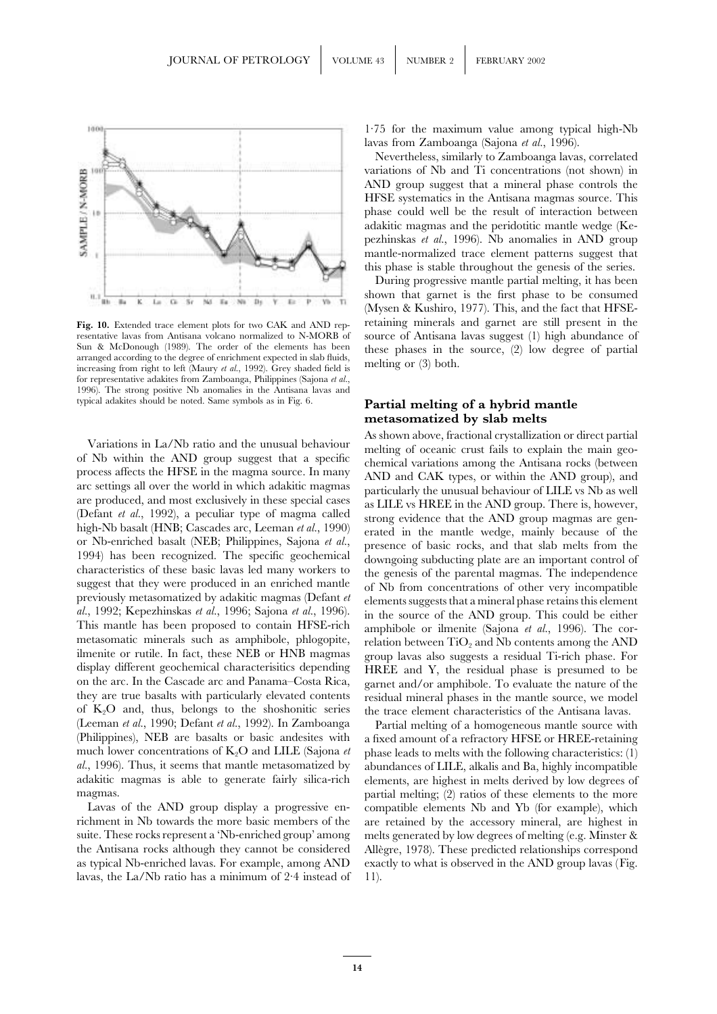

Sun & McDonough (1989). The order of the elements has been<br>arranged according to the degree of enrichment expected in slab fluids,<br>increasing from right to left (Maury *et al.*, 1992). Grey shaded field is melting or (3) for representative adakites from Zamboanga, Philippines (Sajona *et al.*, 1996). The strong positive Nb anomalies in the Antisana lavas and typical adakites should be noted. Same symbols as in Fig. 6. **Partial melting of a hybrid mantle**

process affects the HFSE in the magma source. In many<br>and CAK types, or within the AND group), and<br>arc settings all over the world in which adakitic magmas particularly the unusual behaviour of LILE vs Nb as well<br>are prod display different geochemical characterisitics depending HREE and Y, the residual phase is presumed to be<br>on the arc. In the Cascade arc and Panama–Costa Rica, garnet and/or amphibole. To evaluate the nature of the on the arc. In the Cascade arc and Panama–Costa Rica, garnet and/or amphibole. To evaluate the nature of the they are true basalts with particularly elevated contents residual mineral phases in the mantle source, we model they are true basalts with particularly elevated contents residual mineral phases in the mantle source, we model<br>of K<sub>2</sub>O and, thus, belongs to the shoshonitic series the trace element characteristics of the Antisana lavas (Leeman *et al.*, 1990; Defant *et al.*, 1992). In Zamboanga Partial melting of a homogeneous mantle source with (Philippines), NEB are basalts or basic andesites with a fixed amount of a refractory HFSE or HREE-retaining much lower concentrations of  $K_2O$  and LILE (Sajona *et* phase leads to melts with the following characteristic *al.*, 1996). Thus, it seems that mantle metasomatized by abundances of LILE, alkalis and Ba, highly incompatible adakitic magmas is able to generate fairly silica-rich elements, are highest in melts derived by low degrees of magmas. **partial melting**; (2) ratios of these elements to the more

lavas, the La/Nb ratio has a minimum of  $2.4$  instead of 11).

1·75 for the maximum value among typical high-Nb lavas from Zamboanga (Sajona *et al.*, 1996).

Nevertheless, similarly to Zamboanga lavas, correlated variations of Nb and Ti concentrations (not shown) in AND group suggest that a mineral phase controls the HFSE systematics in the Antisana magmas source. This phase could well be the result of interaction between adakitic magmas and the peridotitic mantle wedge (Kepezhinskas *et al.*, 1996). Nb anomalies in AND group mantle-normalized trace element patterns suggest that this phase is stable throughout the genesis of the series.

During progressive mantle partial melting, it has been shown that garnet is the first phase to be consumed (Mysen & Kushiro, 1977). This, and the fact that HFSE-**Fig. 10.** Extended trace element plots for two CAK and AND rep-<br>retaining minerals and garnet are still present in the<br>resentative layas from Antisana volcano normalized to N-MORB of<br>source of Antisana layas suggest (1) h resentative lavas from Antisana volcano normalized to N-MORB of source of Antisana lavas suggest (1) high abundance of<br>Sun & McDonough (1989). The order of the elements has been these phases in the source (2) low degree of

## **metasomatized by slab melts**

Variations in La/Nb ratio and the unusual behaviour<br>of Nb within the AND group suggest that a specific<br>process affects the HFSE in the magma source. In many<br>and CAK times or within the AND group and<br> $\frac{1}{2}$  and CAK times the trace element characteristics of the Antisana lavas.

phase leads to melts with the following characteristics: (1) Lavas of the AND group display a progressive en- compatible elements Nb and Yb (for example), which richment in Nb towards the more basic members of the are retained by the accessory mineral, are highest in suite. These rocks represent a 'Nb-enriched group' among melts generated by low degrees of melting (e.g. Minster & the Antisana rocks although they cannot be considered Allègre, 1978). These predicted relationships correspond as typical Nb-enriched lavas. For example, among AND exactly to what is observed in the AND group lavas (Fig.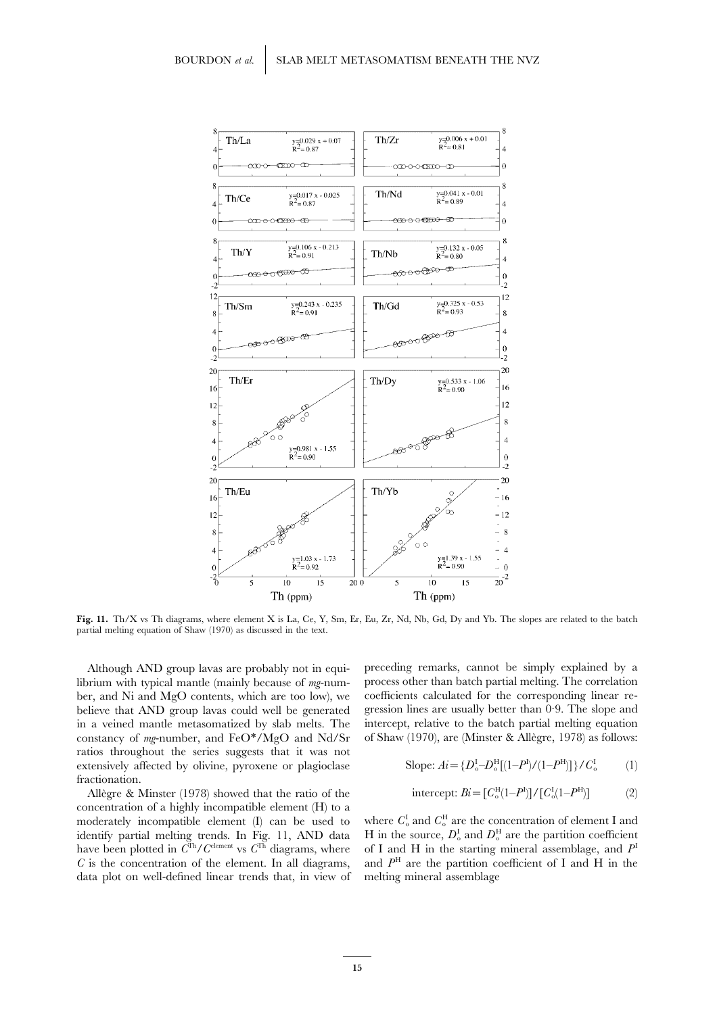

Fig. 11. Th/X vs Th diagrams, where element X is La, Ce, Y, Sm, Er, Eu, Zr, Nd, Nb, Gd, Dy and Yb. The slopes are related to the batch partial melting equation of Shaw (1970) as discussed in the text.

constancy of mg-number, and FeO<sup>∗</sup>/MgO and Nd/Sr of Shaw (1970), are (Minster & Allègre, 1978) as follows: ratios throughout the series suggests that it was not extensively affected by olivine, pyroxene or plagioclase fractionation.

Allegre & Minster (1978) showed that the ratio of the concentration of a highly incompatible element (H) to a moderately incompatible element (I) can be used to where  $C_0^I$  and  $C_0^H$  are the concentration of element I and data plot on well-defined linear trends that, in view of melting mineral assemblage

Although AND group lavas are probably not in equi- preceding remarks, cannot be simply explained by a librium with typical mantle (mainly because of *mg*-num- process other than batch partial melting. The correlation ber, and Ni and MgO contents, which are too low), we coefficients calculated for the corresponding linear rebelieve that AND group lavas could well be generated gression lines are usually better than 0·9. The slope and in a veined mantle metasomatized by slab melts. The intercept, relative to the batch partial melting equation

Slope: 
$$
Ai = \{D_o^I - D_o^H[(1 - P^I)/(1 - P^H)]\} / C_o^I
$$
 (1)

$$
intercept: Bi = [C_0^H(1-P^I)]/[C_0^I(1-P^H)]
$$
 (2)

H in the source,  $D_0^I$  and  $D_0^H$  are the partition coefficient identify partial melting trends. In Fig. 11, AND data  $\;$  H in the source,  $D_\text{o}^\text{I}$  and  $D_\text{o}^\text{H}$  are the partition coefficient have been plotted in  $C^{Th}/C^{element}$  vs  $C^{Th}$  diagrams, where of I and H in the starting mineral assemblage, and  $P^{In}$  $C$  is the concentration of the element. In all diagrams, and  $P<sup>H</sup>$  are the partition coefficient of I and H in the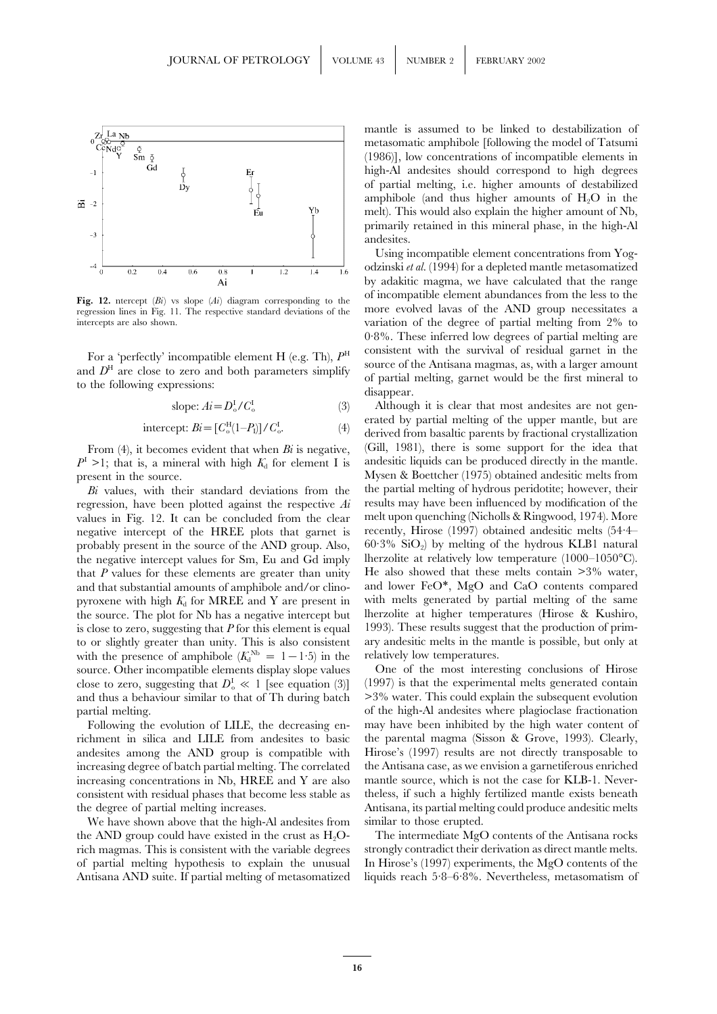

regression lines in Fig. 11. The respective standard deviations of the

slope: 
$$
Ai = D_o^I / C_o^I
$$
 (3)

$$
intercept: Bi = [C_0^H(1-P_1)]/C_0^I.
$$
 (4)

 $P^1 > 1$ ; that is, a mineral with high  $K_d$  for element I is andesitic liquids can be produced directly in the mantle.<br>I is a modestic liquids can be produced directly in the mantle.<br>Mysen & Boettcher (1975) obtained ande

regression, have been plotted against the respective  $Ai$  results may have been influenced by modification of the values in Fig. 12. It can be concluded from the clear melt upon quenching (Nicholls & Ringwood, 1974). More values in Fig. 12. It can be concluded from the clear melt upon quenching (Nicholls & Ringwood, 1974). More<br>negative intercept of the HREE plots that garnet is recently, Hirose (1997) obtained andesitic melts (54.4– negative intercept of the HREE plots that garnet is recently, Hirose (1997) obtained andesitic melts (54·4–<br>probably present in the source of the AND group. Also 60·3% SiO<sub>2</sub>) by melting of the hydrous KLB1 natural probably present in the source of the AND group. Also,  $60.3\%$  SiO<sub>2</sub>) by melting of the hydrous KLB1 natural the negative intercept values for Sm. Eu and Gd imply lherzolite at relatively low temperature (1000–1050°C). the negative intercept values for Sm, Eu and Gd imply that  $\overrightarrow{P}$  values for these elements are greater than unity He also showed that these melts contain >3% water, and that substantial amounts of amphibole and/or clino- and lower FeO<sup>\*</sup>, MgO and CaO contents compared pyroxene with high  $K_i$  for MREE and Y are present in with melts generated by partial melting of the same pyroxene with high  $K_d$  for MREE and Y are present in with melts generated by partial melting of the same the source. The plot for Nb has a negative intercent but lherzolite at higher temperatures (Hirose & Kushiro, the source. The plot for Nb has a negative intercept but is close to zero, suggesting that *P* for this element is equal 1993). These results suggest that the production of primto or slightly greater than unity. This is also consistent ary andesitic melts in the mantle is possible, but only at with the presence of amphibole  $(K_d^{\text{Nb}} = 1 - 1.5)$  in the relatively low temperatures. source. Other incompatible elements display slope values One of the most interesting conclusions of Hirose close to zero, suggesting that  $D_0^{\text{I}} \ll 1$  [see equation (3)] (1997) is that the experimental melts generated contain and thus a behaviour similar to that of Th during batch >3% water. This could explain the subsequent evolution

richment in silica and LILE from andesites to basic the parental magma (Sisson & Grove, 1993). Clearly, andesites among the AND group is compatible with Hirose's (1997) results are not directly transposable to increasing degree of batch partial melting. The correlated the Antisana case, as we envision a garnetiferous enriched increasing concentrations in Nb, HREE and Y are also mantle source, which is not the case for KLB-1. Neverconsistent with residual phases that become less stable as theless, if such a highly fertilized mantle exists beneath the degree of partial melting increases. Antisana, its partial melting could produce andesitic melts

We have shown above that the high-Al andesites from similar to those erupted. the AND group could have existed in the crust as  $H_2O-$  The intermediate MgO contents of the Antisana rocks rich magmas. This is consistent with the variable degrees strongly contradict their derivation as direct mantle melts. of partial melting hypothesis to explain the unusual In Hirose's (1997) experiments, the MgO contents of the Antisana AND suite. If partial melting of metasomatized liquids reach 5·8–6·8%. Nevertheless, metasomatism of

mantle is assumed to be linked to destabilization of metasomatic amphibole [following the model of Tatsumi (1986)], low concentrations of incompatible elements in high-Al andesites should correspond to high degrees of partial melting, i.e. higher amounts of destabilized amphibole (and thus higher amounts of  $H_2O$  in the melt). This would also explain the higher amount of Nb, primarily retained in this mineral phase, in the high-Al andesites.

Using incompatible element concentrations from Yogodzinski *et al.* (1994) for a depleted mantle metasomatized by adakitic magma, we have calculated that the range Fig. 12. ntercept (*Bi*) vs slope (*Ai*) diagram corresponding to the of incompatible element abundances from the less to the regression lines in Fig. 11. The respective standard deviations of the more evolved lavas of the intercepts are also shown. variation of the degree of partial melting from 2% to 0·8%. These inferred low degrees of partial melting are For a 'perfectly' incompatible element H (e.g. Th),  $P^H$  consistent with the survival of residual garnet in the Form and Philosopher and Philosopher and Philosopher and Philosopher and Philosopher and Philosopher and Phi and  $D<sup>H</sup>$  are close to zero and both parameters simplify source of the Antisana magmas, as, with a larger amount of partial melting, garnet would be the first mineral to disappear.

Although it is clear that most andesites are not generated by partial melting of the upper mantle, but are derived from basaltic parents by fractional crystallization From (4), it becomes evident that when  $Bi$  is negative, (Gill, 1981), there is some support for the idea that Mysen & Boettcher (1975) obtained andesitic melts from *Bi* values, with their standard deviations from the the partial melting of hydrous peridotite; however, their

partial melting. The same of the high-Al andesites where plagioclase fractionation Following the evolution of LILE, the decreasing en- may have been inhibited by the high water content of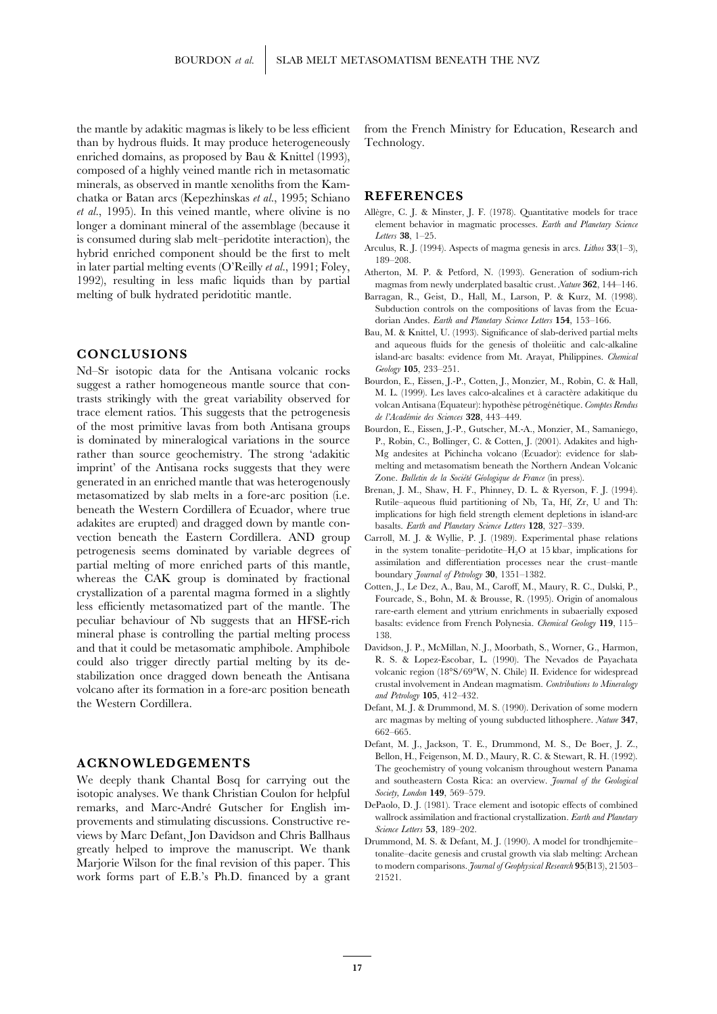the mantle by adakitic magmas is likely to be less efficient from the French Ministry for Education, Research and than by hydrous fluids. It may produce heterogeneously Technology. enriched domains, as proposed by Bau & Knittel (1993), composed of a highly veined mantle rich in metasomatic minerals, as observed in mantle xenoliths from the Kamchatka or Batan arcs (Kepezhinskas *et al.*, 1995; Schiano **REFERENCES** *et al.*, 1995). In this veined mantle, where olivine is no Allegre, C. J. & Minster, J. F. (1978). Quantitative models for trace is consumed during slab melt-peridotite interaction), the Letters 38, 1-25.<br>hybrid enriched component should be the first to melt<br> $\frac{Letters 38, 1-25}{189-208}$ . Aspects of magma genesis in arcs. Lithos 33(1-3), in later partial melting events (O'Reilly *et al.*, 1991; Foley,<br>
1992), resulting in less mafic liquids than by partial<br>
magmas from newly underplated basaltic crust. Nature 362, 144–146.<br>
melting of bulk hydrated peridot

Nd–Sr isotopic data for the Antisana volcanic rocks *Geology* 105, 233–251.<br>Surgest a rather homogeneous mantle source that son Bourdon, E., Eissen, J.-P., Cotten, J., Monzier, M., Robin, C. & Hall, suggest a rather homogeneous mantle source that con-<br>trasts strikingly with the great variability observed for<br>trace element ratios. This suggests that the petrogenesis<br>of the most primitive lavas from both Antisana groups is dominated by mineralogical variations in the source P., Robin, C., Bollinger, C. & Cotten, J. (2001). Adakites and highrather than source geochemistry. The strong 'adakitic Mg andesites at Pichincha volcano (Ecuador): evidence for slab-<br>imprint' of the Antisana rocks suggests that they were melting and metasomatism beneath the Northern And imprint' of the Antisana rocks suggests that they were<br>generated in an enriched mantle that was heterogenously<br>metasomatized by slab melts in a fore-arc position (i.e.<br>beneath the Western Cordillera of Ecuador, where true<br> adakites are erupted) and dragged down by mantle con- basalts. *Earth and Planetary Science Letters* **128**, 327–339. vection beneath the Eastern Cordillera. AND group Carroll, M. J. & Wyllie, P. J. (1989). Experimental phase relations petrogenesis seems dominated by variable degrees of in the system tonalite–peridotite–H<sub>2</sub>O at 15 kbar, implications for partial melting of more enriched parts of this mantle, assimilation and differentiation processes near the crust–mantle<br>  $\mu_{\text{rel}}$  assimilation and differentiation processes near the crust–mantle whereas the CAK group is dominated by fractional<br>crystallization of a parental magma formed in a slightly<br>less efficiently metasomatized part of the mantle. The<br>less efficiently metasomatized part of the mantle. The<br>rare-e peculiar behaviour of Nb suggests that an HFSE-rich basalts: evidence from French Polynesia. *Chemical Geology* **119**, 115– mineral phase is controlling the partial melting process 138. and that it could be metasomatic amphibole. Amphibole Davidson, J. P., McMillan, N. J., Moorbath, S., Worner, G., Harmon, Could also trigger directly partial melting by its de-<br>R. S. & Lopez-Escobar, L. (1990). The Nevados could also trigger directly partial melting by its de-<br>stabilization once dragged down beneath the Antisana<br>volcanic region (18°S/69°W, N. Chile) II. Evidence for widespread<br>volcano after its formation in a fore-arc positi

isotopic analyses. We thank Christian Coulon for helpful *Society, London* 149, 569–579.<br>remarks and Marc-André Gutscher for English im- DePaolo, D. J. (1981). Trace element and isotopic effects of combined remarks, and Marc-André Gutscher for English im-<br>provements and stimulating discussions. Constructive re-<br>views by Marc Defant, Jon Davidson and Chris Ballhaus<br>greatly helped to improve the manuscript. We thank<br>greatly hel Marjorie Wilson for the final revision of this paper. This to modern comparisons. *Journal of Geophysical Research* 95(B13), 21503– work forms part of E.B.'s Ph.D. financed by a grant 21521.

- element behavior in magmatic processes. *Earth and Planetary Science*<br>
is approvised during also melt populatite interaction) the Letters 38, 1-25.
	-
	-
	- Barragan, R., Geist, D., Hall, M., Larson, P. & Kurz, M. (1998). Subduction controls on the compositions of lavas from the Ecuadorian Andes. *Earth and Planetary Science Letters* **154**, 153–166.
- Bau, M. & Knittel, U. (1993). Significance of slab-derived partial melts and aqueous fluids for the genesis of tholeiitic and calc-alkaline **CONCLUSIONS** island-arc basalts: evidence from Mt. Arayat, Philippines. *Chemical*
	-
	- Bourdon, E., Eissen, J.-P., Gutscher, M.-A., Monzier, M., Samaniego,
	-
	-
	-
	-
	- arc magmas by melting of young subducted lithosphere. *Nature* **347**, 662–665.
- Defant, M. J., Jackson, T. E., Drummond, M. S., De Boer, J. Z., **ACKNOWLEDGEMENTS**<br>The geochemistry of young volcanism throughout western Panama<br>The geochemistry of young volcanism throughout western Panama We deeply thank Chantal Bosq for carrying out the and southeastern Costa Rica: an overview. *Journal of the Geological*
	-
	-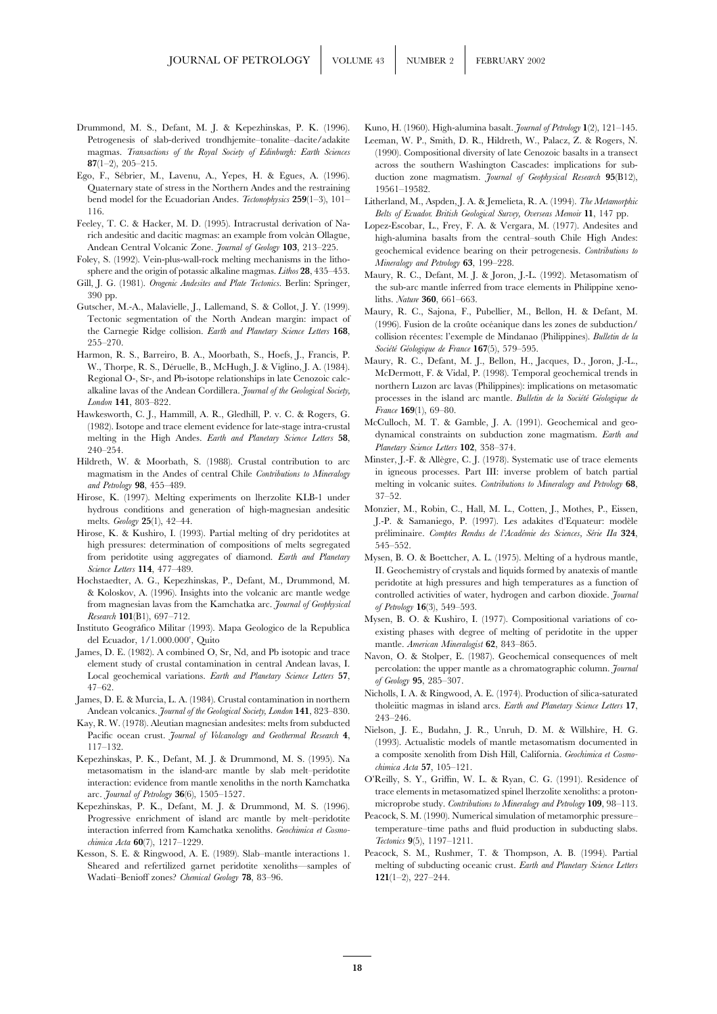- Petrogenesis of slab-derived trondhjemite–tonalite–dacite/adakite Leeman, W. P., Smith, D. R., Hildreth, W., Palacz, Z. & Rogers, N.
- Quaternary state of stress in the Northern Andes and the restraining 19561–19582. bend model for the Ecuadorian Andes. *Tectonophysics* **259**(1–3), 101– Litherland, M., Aspden, J. A. & Jemelieta, R. A. (1994). *The Metamorphic*
- 
- Foley, S. (1992). Vein-plus-wall-rock melting mechanisms in the litho- *Mineralogy and Petrology* **63**, 199–228.
- 
- uuscner, M.-A., Malavielle, J., Lalemand, S. & Collot, J. Y. (1999).<br>
Tectonic segmentation of the North Andean margin: impact of the Carnegie Ridge collision. *Earth and Planetary Science Letters* 168,<br>
<sup>1996</sup>). Fusion de
- 255–270.<br>
Harmon, R. S., Barreiro, B. A., Moorbath, S., Hoefs, J., Francis, P.<br>
W., Thorpe, R. S., Déruelle, B., McHugh, J. & Viglino, J. A. (1984).<br>
Naury, R. C., Defant, M. J., Bellon, H., Jacques, D., Joron, J.-L.,<br>
Reg
- London 141, 803–822.<br>
In the island arc mantle. Bulletin de la Société Géologique de<br>
Hawkesworth, C. J., Hammill, A. R., Gledhill, P. v. C. & Rogers, G.<br>
(1982). Isotope and trace element evidence for late-stage intra-cru melting in the High Andes. *Earth and Planetary Science Letters* 58, *Planetary Science Letters* 102, 358–374.<br> *Planetary Science Letters* 102, 358–374.<br>
240–254.<br>
240–254. **Planetary Science Letters** 102, 358–374.<br>
240–2
- Hildreth, W. & Moorbath, S. (1988). Crustal contribution to arc
- Hirose, K. (1997). Melting experiments on lherzolite KLB-1 under 37–52. hydrous conditions and generation of high-magnesian andesitic Monzier, M., Robin, C., Hall, M. L., Cotten, J., Mothes, P., Eissen,
- high pressures: determination of compositions of melts segregated  $545-552$ . from peridotite using aggregates of diamond. *Earth and Planetary* Mysen, B. O. & Boettcher, A. L. (1975). Melting of a hydrous mantle,
- from magnesian lavas from the Kamchatka arc. *Journal of Geophysical of Petrology* **16**(3), 549–593.
- 
- del Ecuador, 171,000,000; Quito<br>James, D. E. (1982). A combined O, Sr, Nd, and Pb isotopic and trace<br>James, D. E. (1982). A combined O, Sr, Nd, and Pb isotopic and trace<br>Navon, O. & Stelper, E. (1987). Ceocham mes, D. E. (1982). A combined O, Sr, Nd, and Pb isotopic and trace<br>element study of crustal contamination in central Andean lavas, I.<br>Local geochemical variations. *Earth and Planetary Science Letters* 57,<br> $\int_{\text{g}} G \cos(99$
- 
- 
- metasomatism in the island-arc mantle by slab melt-peridotite *chamica Acta* 57, 105-121.<br>interaction: evidence from mantle xenoliths in the north Kamchatka O'Reilly, S. Y., Griffin, W. L. & Ryan, C. G. (1991). Residence o
- Kepezhinskas, P. K., Defant, M. J. & Drummond, M. S. (1996). interaction inferred from Kamchatka xenoliths. *Geochimica et Cosmo*-<br> *temperature–time paths*<br> *chimica Acta* 60(7). 1217–1229.<br> *Tectonics* 9(5), 1197–1211. *chimica Acta* **60**(7), 1217–1229.
- Wadati–Benioff zones? *Chemical Geology* **78**, 83–96. **121**(1–2), 227–244.

Drummond, M. S., Defant, M. J. & Kepezhinskas, P. K. (1996). Kuno, H. (1960). High-alumina basalt. *Journal of Petrology* **1**(2), 121–145.

- magmas. *Transactions of the Royal Society of Edinburgh: Earth Sciences* (1990). Compositional diversity of late Cenozoic basalts in a transect 87(1–2), 205–215.<br> **87**(1–2), 205–215. across the southern Washington Cascades: implications for sub-<br> **Ego, F., Sebrier, M., Lavenu, A., Yepes, H. & Egues, A.** (1996). duction zone magmatism. *Journal of Geobhysical Resea* duction zone magmatism. *Journal of Geophysical Research* 95(B12),
- 116.<br>**Belts of Ecuador. British Geological Survey, Overseas Memoir 11,** 147 pp.<br>Feeley, T. C. & Hacker, M. D. (1995). Intracrustal derivation of Na-<br>Longz-Escobar, J. Frey, E. A. & Vergara, M. (1977). Andesites at
	- Feeley, T. C. & Hacker, M. D. (1995). Intracrustal derivation of Na- Lopez-Escobar, L., Frey, F. A. & Vergara, M. (1977). Andesites and rich andesitic and dacitic magmas: an example from volcan Ollague, high-alumina basalts from the central–south Chile High Andes:<br>Andean Central Volcanic Zone. *Tournal of Geology* 103, 213–225. Andean Central Volcanic Zone. *Journal of Geology* **103**, 213–225. geochemical evidence bearing on their petrogenesis. *Contributions to*
- sphere and the origin of potassic alkaline magmas. *Lithos* 28, 435–453. Maury, R. C., Defant, M. J. & Joron, J.-L. (1992). Metasomatism of Gill, J. G. (1981). *Origenic Andesites and Plate Tectonics*. Berlin: Springer, 39
	-
	-
	-
	- magmatism in the Andes of central Chile *Contributions to Mineralogy* in igneous processes. Part III: inverse problem of batch partial *and Petrology* **98** melting in volcanic suites. *Contributions to Mineralogy and Petrology* **68**, , 455–489.
- melts. *Geology* 25(1), 42-44. J.-P. & Samaniego, P. (1997). Les adakites d'Equateur: modèle Hirose, K. & Kushiro, I. (1993). Partial melting of dry peridotites at préliminaire. Comptes Rendus de l'Académie des Sciences, Série IIa 324,
- *Science Letters* **114**, 477–489. II. Geochemistry of crystals and liquids formed by anatexis of mantle Hochstaedter, A. G., Kepezhinskas, P., Defant, M., Drummond, M. peridotite at high pressures and high temperatures as a function of & Koloskov, A. (1996). Insights into the volcanic arc mantle wedge controlled activities of water, hydrogen and carbon dioxide. *Journal*
- Research 101(B1), 697-712.<br>Instituto Geográfico Militar (1993). Mapa Geologico de la Republica<br>del Ecuador 1/1000 000<sup>c</sup> Ouito
	-
- 47–62.<br>
James, D. E. & Murcia, L. A. (1984). Crustal contamination in northern<br>
Madean volcanics. *Journal of the Geological Society, London* 141, 823–830.<br>
Kay, R. W. (1978). Aleutian magnesian andesites: melts from subdu
- a composite xenolith from Dish Hill, California. *Geochimica et Cosmo-* Kepezhinskas, P. K., Defant, M. J. & Drummond, M. S. (1995). Na
	- arc. *Journal of Petrology* 36(6), 1505–1527.<br>
	enezhinskas P K Defant M J & Drummond M S (1996) microprobe study. *Contributions to Mineralogy and Petrology* 109, 98–113.
	- Progressive enrichment of island arc mantle by melt–peridotite Peacock, S. M. (1990). Numerical simulation of metamorphic pressure–<br>interaction inferred from Kamchatka venolities *Cecelinica et Corne*-temperature–time path
- Kesson, S. E. & Ringwood, A. E. (1989). Slab–mantle interactions 1. Peacock, S. M., Rushmer, T. & Thompson, A. B. (1994). Partial Sheared and refertilized garnet peridotite xenoliths—samples of melting of subducting oceanic crust. *Earth and Planetary Science Letters*